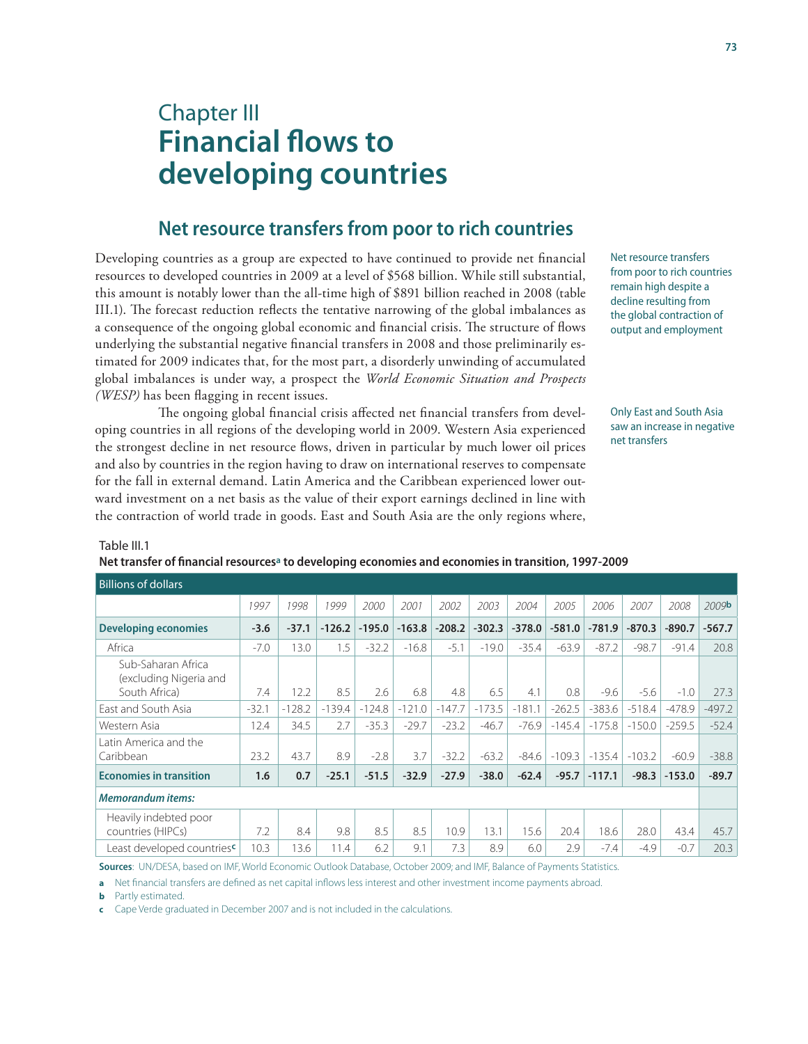# Chapter III **Financial flows to developing countries**

## **Net resource transfers from poor to rich countries**

Developing countries as a group are expected to have continued to provide net financial resources to developed countries in 2009 at a level of \$568 billion. While still substantial, this amount is notably lower than the all-time high of \$891 billion reached in 2008 (table III.1). The forecast reduction reflects the tentative narrowing of the global imbalances as a consequence of the ongoing global economic and financial crisis. The structure of flows underlying the substantial negative financial transfers in 2008 and those preliminarily estimated for 2009 indicates that, for the most part, a disorderly unwinding of accumulated global imbalances is under way, a prospect the *World Economic Situation and Prospects (WESP)* has been flagging in recent issues.

The ongoing global financial crisis affected net financial transfers from developing countries in all regions of the developing world in 2009. Western Asia experienced the strongest decline in net resource flows, driven in particular by much lower oil prices and also by countries in the region having to draw on international reserves to compensate for the fall in external demand. Latin America and the Caribbean experienced lower outward investment on a net basis as the value of their export earnings declined in line with the contraction of world trade in goods. East and South Asia are the only regions where,

Net resource transfers from poor to rich countries remain high despite a decline resulting from the global contraction of output and employment

Only East and South Asia saw an increase in negative net transfers

#### Table III.1

**Net transfer of financial resourcesa to developing economies and economies in transition, 1997-2009**

| <b>Billions of dollars</b>                                    |         |          |          |          |          |          |          |          |          |          |          |          |                   |
|---------------------------------------------------------------|---------|----------|----------|----------|----------|----------|----------|----------|----------|----------|----------|----------|-------------------|
|                                                               | 1997    | 1998     | 1999     | 2000     | 2001     | 2002     | 2003     | 2004     | 2005     | 2006     | 2007     | 2008     | 2009 <sup>b</sup> |
| <b>Developing economies</b>                                   | $-3.6$  | $-37.1$  | $-126.2$ | $-195.0$ | $-163.8$ | $-208.2$ | $-302.3$ | $-378.0$ | $-581.0$ | $-781.9$ | $-870.3$ | $-890.7$ | $-567.7$          |
| Africa                                                        | $-7.0$  | 13.0     | 1.5      | $-32.2$  | $-16.8$  | $-5.1$   | $-19.0$  | $-35.4$  | $-63.9$  | $-87.2$  | $-98.7$  | $-91.4$  | 20.8              |
| Sub-Saharan Africa<br>(excluding Nigeria and<br>South Africa) | 7.4     | 12.2     | 8.5      | 2.6      | 6.8      | 4.8      | 6.5      | 4.1      | 0.8      | $-9.6$   | $-5.6$   | $-1.0$   | 27.3              |
| East and South Asia                                           | $-32.1$ | $-128.2$ | $-139.4$ | $-124.8$ | $-121.0$ | $-147.7$ | $-173.5$ | $-181.1$ | $-262.5$ | $-383.6$ | $-518.4$ | $-478.9$ | $-497.2$          |
| Western Asia                                                  | 12.4    | 34.5     | 2.7      | $-35.3$  | $-29.7$  | $-23.2$  | $-46.7$  | $-76.9$  | $-145.4$ | $-175.8$ | $-150.0$ | $-259.5$ | $-52.4$           |
| Latin America and the<br>Caribbean                            | 23.2    | 43.7     | 8.9      | $-2.8$   | 3.7      | $-32.2$  | $-63.2$  | $-84.6$  | $-109.3$ | $-135.4$ | $-103.2$ | $-60.9$  | $-38.8$           |
| <b>Economies in transition</b>                                | 1.6     | 0.7      | $-25.1$  | $-51.5$  | $-32.9$  | $-27.9$  | $-38.0$  | $-62.4$  | $-95.7$  | $-117.1$ | $-98.3$  | $-153.0$ | $-89.7$           |
| <b>Memorandum items:</b>                                      |         |          |          |          |          |          |          |          |          |          |          |          |                   |
| Heavily indebted poor<br>countries (HIPCs)                    | 7.2     | 8.4      | 9.8      | 8.5      | 8.5      | 10.9     | 13.1     | 15.6     | 20.4     | 18.6     | 28.0     | 43.4     | 45.7              |
| Least developed countriesc                                    | 10.3    | 13.6     | 11.4     | 6.2      | 9.1      | 7.3      | 8.9      | 6.0      | 2.9      | $-7.4$   | $-4.9$   | $-0.7$   | 20.3              |

**Sources**: UN/DESA, based on IMF, World Economic Outlook Database, October 2009; and IMF, Balance of Payments Statistics.

**a** Net financial transfers are defined as net capital inflows less interest and other investment income payments abroad.

**b** Partly estimated.

**c** Cape Verde graduated in December 2007 and is not included in the calculations.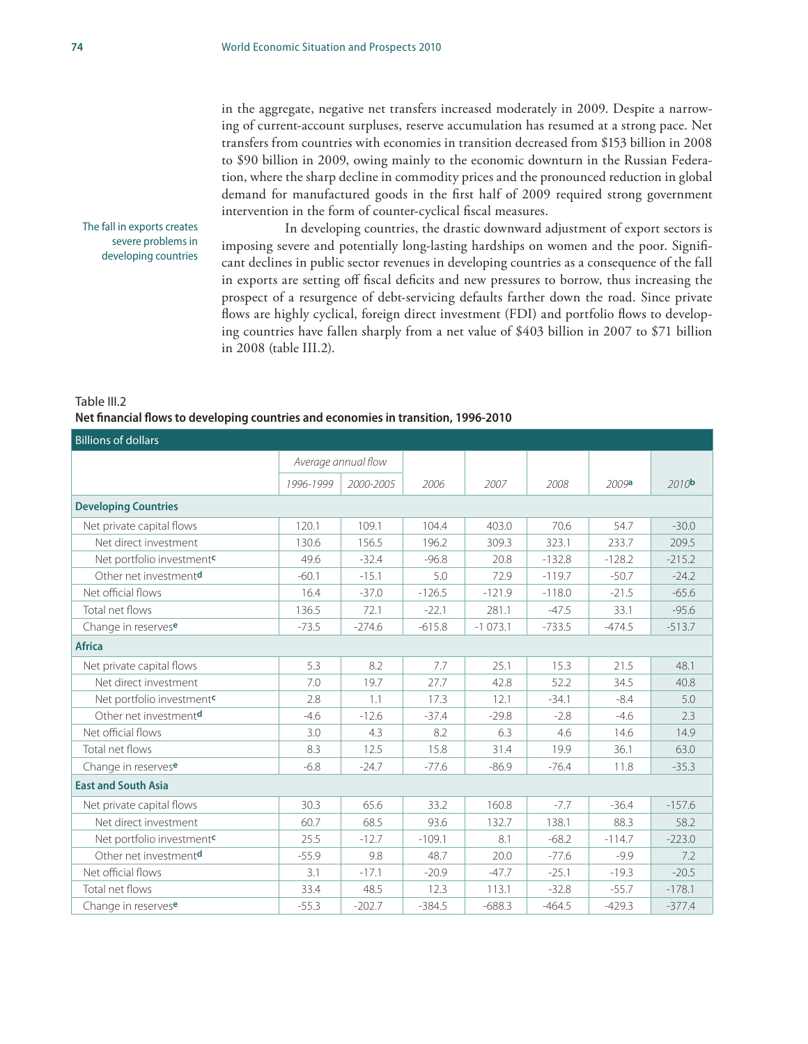#### The fall in exports creates severe problems in developing countries

transfers from countries with economies in transition decreased from \$153 billion in 2008 to \$90 billion in 2009, owing mainly to the economic downturn in the Russian Federation, where the sharp decline in commodity prices and the pronounced reduction in global demand for manufactured goods in the first half of 2009 required strong government intervention in the form of counter-cyclical fiscal measures. In developing countries, the drastic downward adjustment of export sectors is

in the aggregate, negative net transfers increased moderately in 2009. Despite a narrowing of current-account surpluses, reserve accumulation has resumed at a strong pace. Net

imposing severe and potentially long-lasting hardships on women and the poor. Significant declines in public sector revenues in developing countries as a consequence of the fall in exports are setting off fiscal deficits and new pressures to borrow, thus increasing the prospect of a resurgence of debt-servicing defaults farther down the road. Since private flows are highly cyclical, foreign direct investment (FDI) and portfolio flows to developing countries have fallen sharply from a net value of \$403 billion in 2007 to \$71 billion in 2008 (table III.2).

#### Table III.2 **Net financial flows to developing countries and economies in transition, 1996-2010**

| <b>Billions of dollars</b>            |                     |           |          |           |          |          |                   |  |  |
|---------------------------------------|---------------------|-----------|----------|-----------|----------|----------|-------------------|--|--|
|                                       | Average annual flow |           |          |           |          |          |                   |  |  |
|                                       | 1996-1999           | 2000-2005 | 2006     | 2007      | 2008     | 2009a    | 2010 <sub>b</sub> |  |  |
| <b>Developing Countries</b>           |                     |           |          |           |          |          |                   |  |  |
| Net private capital flows             | 120.1               | 109.1     | 104.4    | 403.0     | 70.6     | 54.7     | $-30.0$           |  |  |
| Net direct investment                 | 130.6               | 156.5     | 196.2    | 309.3     | 323.1    | 233.7    | 209.5             |  |  |
| Net portfolio investment <sup>c</sup> | 49.6                | $-32.4$   | $-96.8$  | 20.8      | $-132.8$ | $-128.2$ | $-215.2$          |  |  |
| Other net investmentd                 | $-60.1$             | $-15.1$   | 5.0      | 72.9      | $-119.7$ | $-50.7$  | $-24.2$           |  |  |
| Net official flows                    | 16.4                | $-37.0$   | $-126.5$ | $-121.9$  | $-118.0$ | $-21.5$  | $-65.6$           |  |  |
| Total net flows                       | 136.5               | 72.1      | $-22.1$  | 281.1     | $-47.5$  | 33.1     | $-95.6$           |  |  |
| Change in reservese                   | $-73.5$             | $-274.6$  | $-615.8$ | $-1073.1$ | $-733.5$ | $-474.5$ | $-513.7$          |  |  |
| <b>Africa</b>                         |                     |           |          |           |          |          |                   |  |  |
| Net private capital flows             | 5.3                 | 8.2       | 7.7      | 25.1      | 15.3     | 21.5     | 48.1              |  |  |
| Net direct investment                 | 7.0                 | 19.7      | 27.7     | 42.8      | 52.2     | 34.5     | 40.8              |  |  |
| Net portfolio investment <sup>c</sup> | 2.8                 | 1.1       | 17.3     | 12.1      | $-34.1$  | $-8.4$   | 5.0               |  |  |
| Other net investment <sup>d</sup>     | $-4.6$              | $-12.6$   | $-37.4$  | $-29.8$   | $-2.8$   | $-4.6$   | 2.3               |  |  |
| Net official flows                    | 3.0                 | 4.3       | 8.2      | 6.3       | 4.6      | 14.6     | 14.9              |  |  |
| Total net flows                       | 8.3                 | 12.5      | 15.8     | 31.4      | 19.9     | 36.1     | 63.0              |  |  |
| Change in reservese                   | $-6.8$              | $-24.7$   | $-77.6$  | $-86.9$   | $-76.4$  | 11.8     | $-35.3$           |  |  |
| <b>East and South Asia</b>            |                     |           |          |           |          |          |                   |  |  |
| Net private capital flows             | 30.3                | 65.6      | 33.2     | 160.8     | $-7.7$   | $-36.4$  | $-157.6$          |  |  |
| Net direct investment                 | 60.7                | 68.5      | 93.6     | 132.7     | 138.1    | 88.3     | 58.2              |  |  |
| Net portfolio investment <sup>c</sup> | 25.5                | $-12.7$   | $-109.1$ | 8.1       | $-68.2$  | $-114.7$ | $-223.0$          |  |  |
| Other net investmentd                 | $-55.9$             | 9.8       | 48.7     | 20.0      | $-77.6$  | $-9.9$   | 7.2               |  |  |
| Net official flows                    | 3.1                 | $-17.1$   | $-20.9$  | $-47.7$   | $-25.1$  | $-19.3$  | $-20.5$           |  |  |
| Total net flows                       | 33.4                | 48.5      | 12.3     | 113.1     | $-32.8$  | $-55.7$  | $-178.1$          |  |  |
| Change in reservese                   | $-55.3$             | $-202.7$  | $-384.5$ | $-688.3$  | $-464.5$ | $-429.3$ | $-377.4$          |  |  |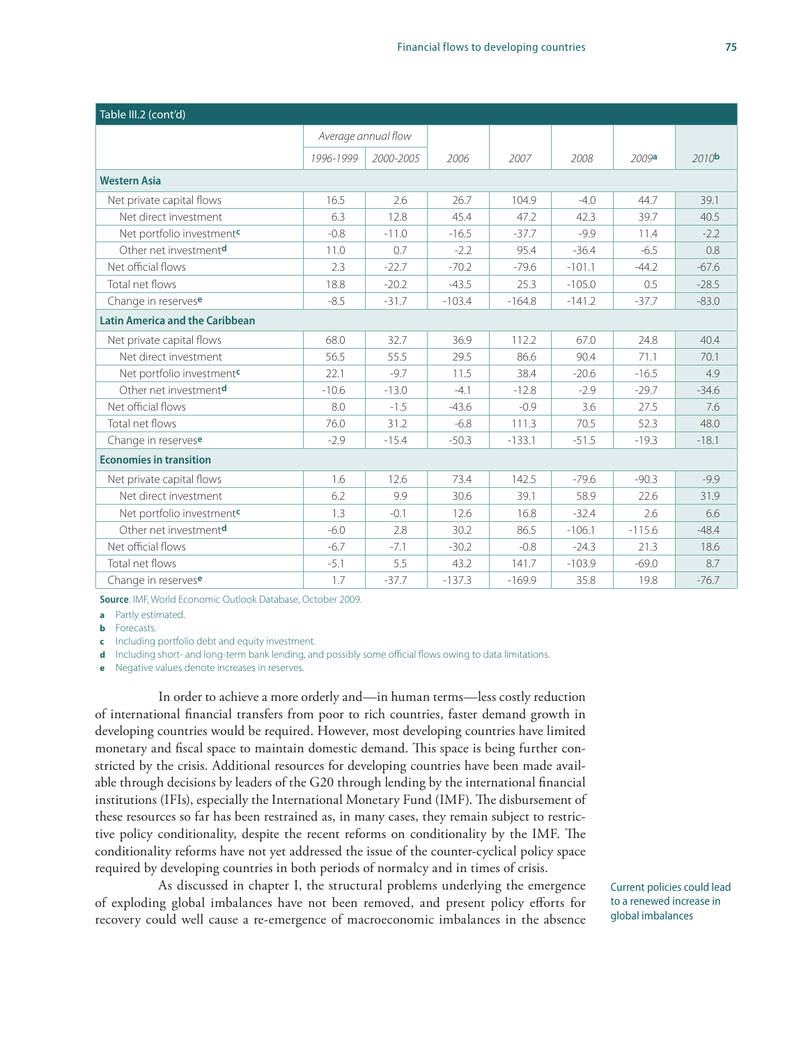| Table III.2 (cont'd)                   |                     |           |          |          |          |          |                   |  |  |
|----------------------------------------|---------------------|-----------|----------|----------|----------|----------|-------------------|--|--|
|                                        | Average annual flow |           |          |          |          |          |                   |  |  |
|                                        | 1996-1999           | 2000-2005 | 2006     | 2007     | 2008     | 2009a    | 2010 <sub>b</sub> |  |  |
| <b>Western Asia</b>                    |                     |           |          |          |          |          |                   |  |  |
| Net private capital flows              | 16.5                | 2.6       | 26.7     | 104.9    | $-4.0$   | 44.7     | 39.1              |  |  |
| Net direct investment                  | 6.3                 | 12.8      | 45.4     | 47.2     | 42.3     | 39.7     | 40.5              |  |  |
| Net portfolio investment <sup>c</sup>  | $-0.8$              | $-11.0$   | $-16.5$  | $-37.7$  | $-9.9$   | 11.4     | $-2.2$            |  |  |
| Other net investmentd                  | 11.0                | 0.7       | $-2.2$   | 95.4     | $-36.4$  | $-6.5$   | 0.8               |  |  |
| Net official flows                     | 2.3                 | $-22.7$   | $-70.2$  | $-79.6$  | $-101.1$ | $-44.2$  | $-67.6$           |  |  |
| Total net flows                        | 18.8                | $-20.2$   | $-43.5$  | 25.3     | $-105.0$ | 0.5      | $-28.5$           |  |  |
| Change in reservese                    | $-8.5$              | $-31.7$   | $-103.4$ | $-164.8$ | $-141.2$ | $-37.7$  | $-83.0$           |  |  |
| <b>Latin America and the Caribbean</b> |                     |           |          |          |          |          |                   |  |  |
| Net private capital flows              | 68.0                | 32.7      | 36.9     | 112.2    | 67.0     | 24.8     | 40.4              |  |  |
| Net direct investment                  | 56.5                | 55.5      | 29.5     | 86.6     | 90.4     | 71.1     | 70.1              |  |  |
| Net portfolio investment <sup>c</sup>  | 22.1                | $-9.7$    | 11.5     | 38.4     | $-20.6$  | $-16.5$  | 4.9               |  |  |
| Other net investmentd                  | $-10.6$             | $-13.0$   | $-4.1$   | $-12.8$  | $-2.9$   | $-29.7$  | $-34.6$           |  |  |
| Net official flows                     | 8.0                 | $-1.5$    | $-43.6$  | $-0.9$   | 3.6      | 27.5     | 7.6               |  |  |
| Total net flows                        | 76.0                | 31.2      | $-6.8$   | 111.3    | 70.5     | 52.3     | 48.0              |  |  |
| Change in reservese                    | $-2.9$              | $-15.4$   | $-50.3$  | $-133.1$ | $-51.5$  | $-19.3$  | $-18.1$           |  |  |
| <b>Economies in transition</b>         |                     |           |          |          |          |          |                   |  |  |
| Net private capital flows              | 1.6                 | 12.6      | 73.4     | 142.5    | $-79.6$  | $-90.3$  | $-9.9$            |  |  |
| Net direct investment                  | 6.2                 | 9.9       | 30.6     | 39.1     | 58.9     | 22.6     | 31.9              |  |  |
| Net portfolio investment <sup>c</sup>  | 1.3                 | $-0.1$    | 12.6     | 16.8     | $-32.4$  | 2.6      | 6.6               |  |  |
| Other net investmentd                  | $-6.0$              | 2.8       | 30.2     | 86.5     | $-106.1$ | $-115.6$ | $-48.4$           |  |  |
| Net official flows                     | $-6.7$              | $-7.1$    | $-30.2$  | $-0.8$   | $-24.3$  | 21.3     | 18.6              |  |  |
| Total net flows                        | $-5.1$              | 5.5       | 43.2     | 141.7    | $-103.9$ | $-69.0$  | 8.7               |  |  |
| Change in reservese                    | 1.7                 | $-37.7$   | $-137.3$ | $-169.9$ | 35.8     | 19.8     | $-76.7$           |  |  |

**Source**: IMF, World Economic Outlook Database, October 2009.

**a** Partly estimated.

**b** Forecasts.

**c** Including portfolio debt and equity investment.

**d** Including short- and long-term bank lending, and possibly some official flows owing to data limitations.

**e** Negative values denote increases in reserves.

In order to achieve a more orderly and—in human terms—less costly reduction of international financial transfers from poor to rich countries, faster demand growth in developing countries would be required. However, most developing countries have limited monetary and fiscal space to maintain domestic demand. This space is being further constricted by the crisis. Additional resources for developing countries have been made available through decisions by leaders of the G20 through lending by the international financial institutions (IFIs), especially the International Monetary Fund (IMF). The disbursement of these resources so far has been restrained as, in many cases, they remain subject to restrictive policy conditionality, despite the recent reforms on conditionality by the IMF. The conditionality reforms have not yet addressed the issue of the counter-cyclical policy space required by developing countries in both periods of normalcy and in times of crisis.

As discussed in chapter I, the structural problems underlying the emergence of exploding global imbalances have not been removed, and present policy efforts for recovery could well cause a re-emergence of macroeconomic imbalances in the absence

Current policies could lead to a renewed increase in global imbalances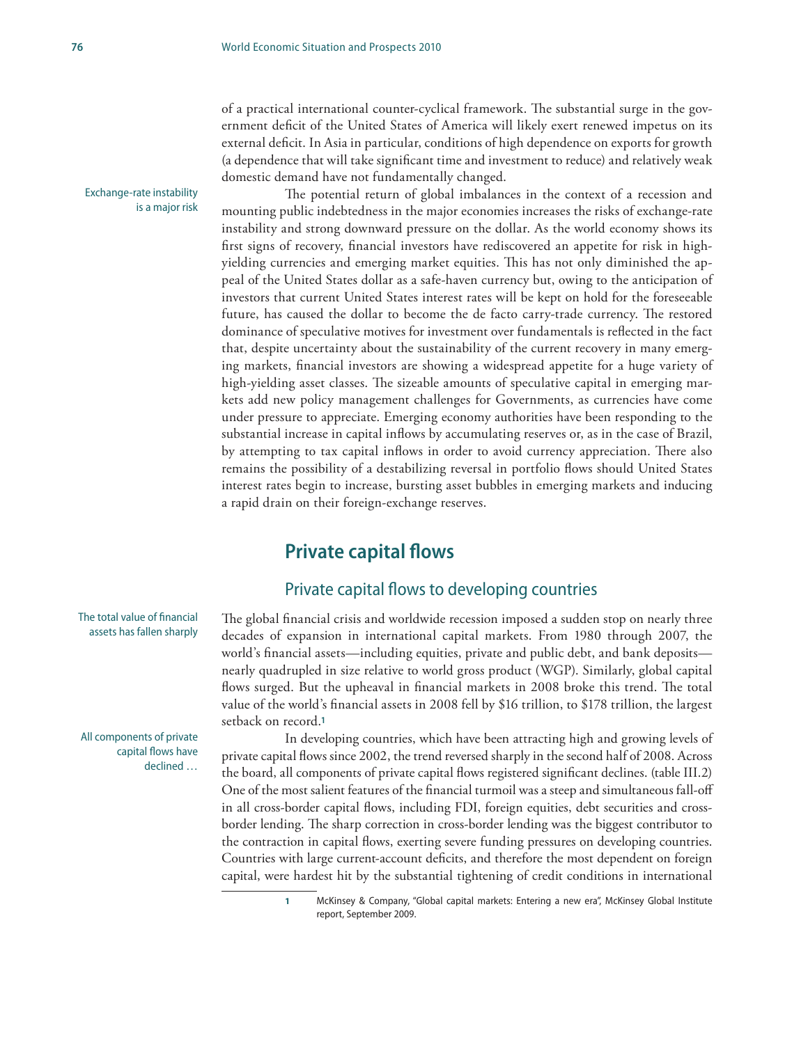of a practical international counter-cyclical framework. The substantial surge in the government deficit of the United States of America will likely exert renewed impetus on its external deficit. In Asia in particular, conditions of high dependence on exports for growth (a dependence that will take significant time and investment to reduce) and relatively weak domestic demand have not fundamentally changed.

The potential return of global imbalances in the context of a recession and mounting public indebtedness in the major economies increases the risks of exchange-rate instability and strong downward pressure on the dollar. As the world economy shows its first signs of recovery, financial investors have rediscovered an appetite for risk in highyielding currencies and emerging market equities. This has not only diminished the appeal of the United States dollar as a safe-haven currency but, owing to the anticipation of investors that current United States interest rates will be kept on hold for the foreseeable future, has caused the dollar to become the de facto carry-trade currency. The restored dominance of speculative motives for investment over fundamentals is reflected in the fact that, despite uncertainty about the sustainability of the current recovery in many emerging markets, financial investors are showing a widespread appetite for a huge variety of high-yielding asset classes. The sizeable amounts of speculative capital in emerging markets add new policy management challenges for Governments, as currencies have come under pressure to appreciate. Emerging economy authorities have been responding to the substantial increase in capital inflows by accumulating reserves or, as in the case of Brazil, by attempting to tax capital inflows in order to avoid currency appreciation. There also remains the possibility of a destabilizing reversal in portfolio flows should United States interest rates begin to increase, bursting asset bubbles in emerging markets and inducing a rapid drain on their foreign-exchange reserves.

## **Private capital flows**

### Private capital flows to developing countries

The global financial crisis and worldwide recession imposed a sudden stop on nearly three decades of expansion in international capital markets. From 1980 through 2007, the world's financial assets—including equities, private and public debt, and bank deposits nearly quadrupled in size relative to world gross product (WGP). Similarly, global capital flows surged. But the upheaval in financial markets in 2008 broke this trend. The total value of the world's financial assets in 2008 fell by \$16 trillion, to \$178 trillion, the largest setback on record.**<sup>1</sup>**

In developing countries, which have been attracting high and growing levels of private capital flows since 2002, the trend reversed sharply in the second half of 2008. Across the board, all components of private capital flows registered significant declines. (table III.2) One of the most salient features of the financial turmoil was a steep and simultaneous fall-off in all cross-border capital flows, including FDI, foreign equities, debt securities and crossborder lending. The sharp correction in cross-border lending was the biggest contributor to the contraction in capital flows, exerting severe funding pressures on developing countries. Countries with large current-account deficits, and therefore the most dependent on foreign capital, were hardest hit by the substantial tightening of credit conditions in international

> **1** McKinsey & Company, "Global capital markets: Entering a new era", McKinsey Global Institute report, September 2009.

The total value of financial assets has fallen sharply

Exchange-rate instability

is a major risk

All components of private capital flows have declined …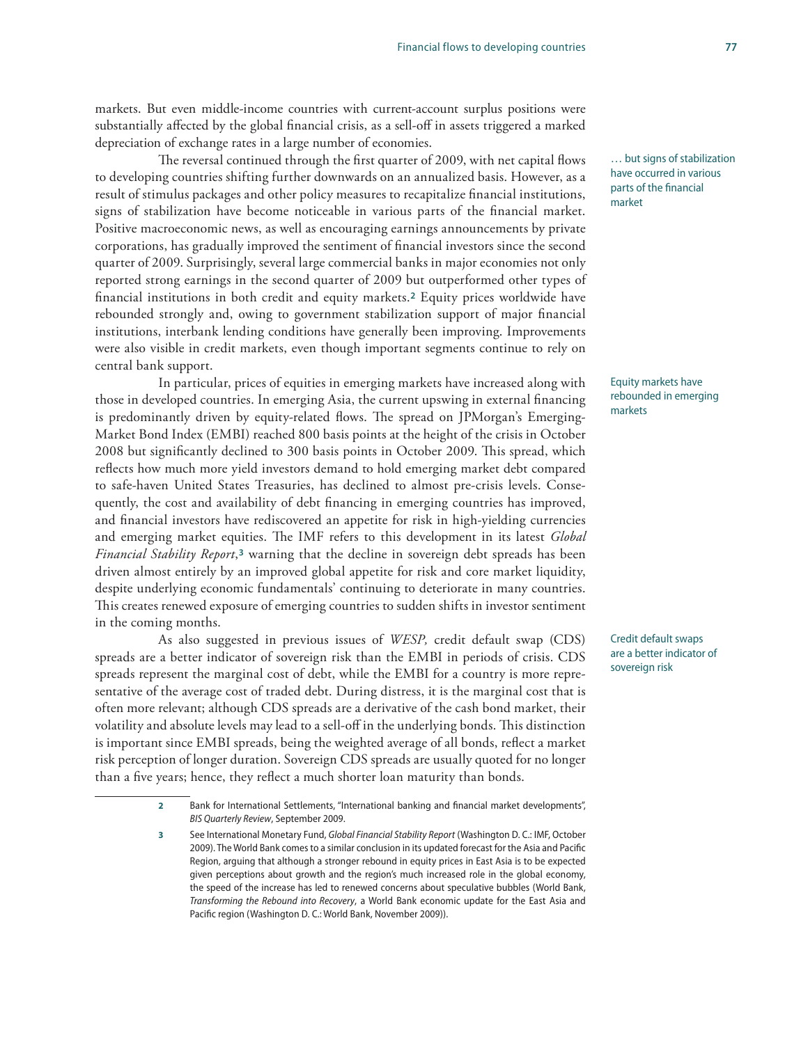markets. But even middle-income countries with current-account surplus positions were substantially affected by the global financial crisis, as a sell-off in assets triggered a marked depreciation of exchange rates in a large number of economies.

The reversal continued through the first quarter of 2009, with net capital flows to developing countries shifting further downwards on an annualized basis. However, as a result of stimulus packages and other policy measures to recapitalize financial institutions, signs of stabilization have become noticeable in various parts of the financial market. Positive macroeconomic news, as well as encouraging earnings announcements by private corporations, has gradually improved the sentiment of financial investors since the second quarter of 2009. Surprisingly, several large commercial banks in major economies not only reported strong earnings in the second quarter of 2009 but outperformed other types of financial institutions in both credit and equity markets.**2** Equity prices worldwide have rebounded strongly and, owing to government stabilization support of major financial institutions, interbank lending conditions have generally been improving. Improvements were also visible in credit markets, even though important segments continue to rely on central bank support.

In particular, prices of equities in emerging markets have increased along with those in developed countries. In emerging Asia, the current upswing in external financing is predominantly driven by equity-related flows. The spread on JPMorgan's Emerging-Market Bond Index (EMBI) reached 800 basis points at the height of the crisis in October 2008 but significantly declined to 300 basis points in October 2009. This spread, which reflects how much more yield investors demand to hold emerging market debt compared to safe-haven United States Treasuries, has declined to almost pre-crisis levels. Consequently, the cost and availability of debt financing in emerging countries has improved, and financial investors have rediscovered an appetite for risk in high-yielding currencies and emerging market equities. The IMF refers to this development in its latest *Global Financial Stability Report*,**3** warning that the decline in sovereign debt spreads has been driven almost entirely by an improved global appetite for risk and core market liquidity, despite underlying economic fundamentals' continuing to deteriorate in many countries. This creates renewed exposure of emerging countries to sudden shifts in investor sentiment in the coming months.

As also suggested in previous issues of *WESP,* credit default swap (CDS) spreads are a better indicator of sovereign risk than the EMBI in periods of crisis. CDS spreads represent the marginal cost of debt, while the EMBI for a country is more representative of the average cost of traded debt. During distress, it is the marginal cost that is often more relevant; although CDS spreads are a derivative of the cash bond market, their volatility and absolute levels may lead to a sell-off in the underlying bonds. This distinction is important since EMBI spreads, being the weighted average of all bonds, reflect a market risk perception of longer duration. Sovereign CDS spreads are usually quoted for no longer than a five years; hence, they reflect a much shorter loan maturity than bonds.

… but signs of stabilization have occurred in various parts of the financial market

Equity markets have rebounded in emerging markets

Credit default swaps are a better indicator of sovereign risk

**<sup>2</sup>** Bank for International Settlements, "International banking and financial market developments", *BIS Quarterly Review*, September 2009.

**<sup>3</sup>** See International Monetary Fund, *Global Financial Stability Report* (Washington D. C.: IMF, October 2009). The World Bank comes to a similar conclusion in its updated forecast for the Asia and Pacific Region, arguing that although a stronger rebound in equity prices in East Asia is to be expected given perceptions about growth and the region's much increased role in the global economy, the speed of the increase has led to renewed concerns about speculative bubbles (World Bank, *Transforming the Rebound into Recovery*, a World Bank economic update for the East Asia and Pacific region (Washington D. C.: World Bank, November 2009)).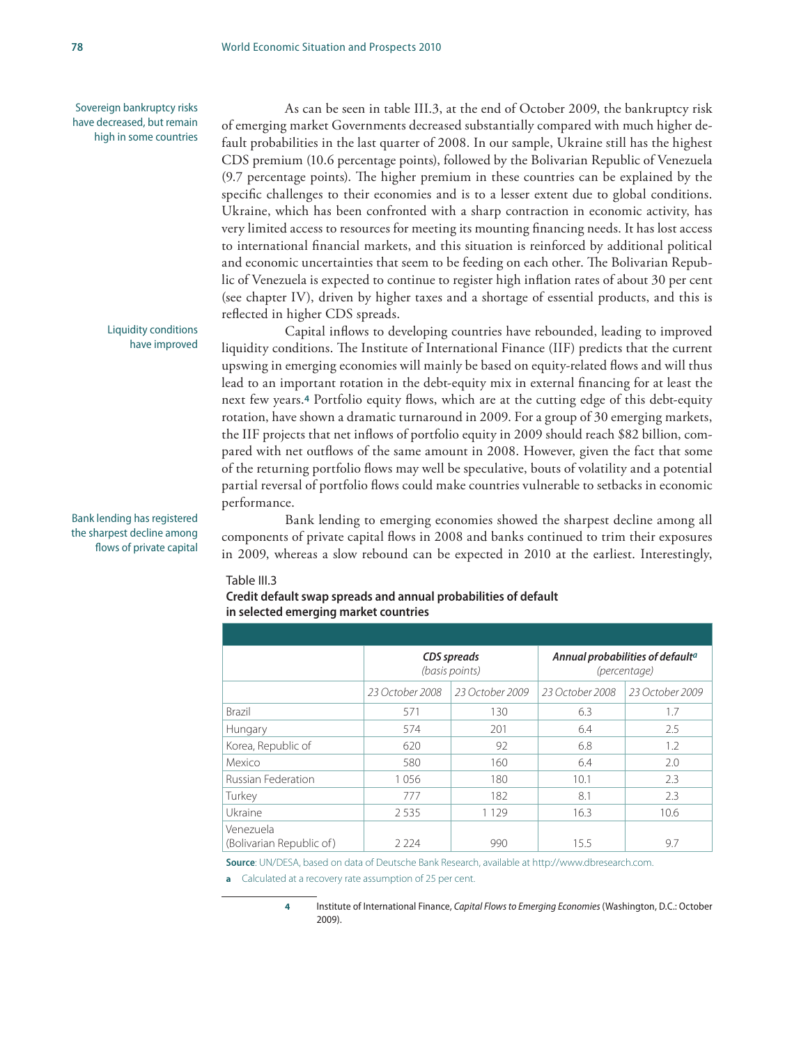Sovereign bankruptcy risks have decreased, but remain high in some countries

> Liquidity conditions have improved

As can be seen in table III.3, at the end of October 2009, the bankruptcy risk of emerging market Governments decreased substantially compared with much higher default probabilities in the last quarter of 2008. In our sample, Ukraine still has the highest CDS premium (10.6 percentage points), followed by the Bolivarian Republic of Venezuela (9.7 percentage points). The higher premium in these countries can be explained by the specific challenges to their economies and is to a lesser extent due to global conditions. Ukraine, which has been confronted with a sharp contraction in economic activity, has very limited access to resources for meeting its mounting financing needs. It has lost access to international financial markets, and this situation is reinforced by additional political and economic uncertainties that seem to be feeding on each other. The Bolivarian Republic of Venezuela is expected to continue to register high inflation rates of about 30 per cent (see chapter IV), driven by higher taxes and a shortage of essential products, and this is reflected in higher CDS spreads.

Capital inflows to developing countries have rebounded, leading to improved liquidity conditions. The Institute of International Finance (IIF) predicts that the current upswing in emerging economies will mainly be based on equity-related flows and will thus lead to an important rotation in the debt-equity mix in external financing for at least the next few years.**4** Portfolio equity flows, which are at the cutting edge of this debt-equity rotation, have shown a dramatic turnaround in 2009. For a group of 30 emerging markets, the IIF projects that net inflows of portfolio equity in 2009 should reach \$82 billion, compared with net outflows of the same amount in 2008. However, given the fact that some of the returning portfolio flows may well be speculative, bouts of volatility and a potential partial reversal of portfolio flows could make countries vulnerable to setbacks in economic performance.

Bank lending to emerging economies showed the sharpest decline among all components of private capital flows in 2008 and banks continued to trim their exposures in 2009, whereas a slow rebound can be expected in 2010 at the earliest. Interestingly,

#### Table III.3

#### **Credit default swap spreads and annual probabilities of default in selected emerging market countries**

|                                       |                 | CDS spreads<br>(basis points) | Annual probabilities of default <sup>a</sup><br>(percentage) |                 |  |  |
|---------------------------------------|-----------------|-------------------------------|--------------------------------------------------------------|-----------------|--|--|
|                                       | 23 October 2008 | 23 October 2009               | 23 October 2008                                              | 23 October 2009 |  |  |
| <b>Brazil</b>                         | 571             | 130                           | 6.3                                                          | 1.7             |  |  |
| Hungary                               | 574             | 201                           | 6.4                                                          | 2.5             |  |  |
| Korea, Republic of                    | 620             | 92                            | 6.8                                                          | 1.2             |  |  |
| Mexico                                | 580             | 160                           | 6.4                                                          | 2.0             |  |  |
| <b>Russian Federation</b>             | 1056            | 180                           | 10.1                                                         | 2.3             |  |  |
| Turkey                                | 777             | 182                           | 8.1                                                          | 2.3             |  |  |
| Ukraine                               | 2535            | 1 1 2 9                       | 16.3                                                         | 10.6            |  |  |
| Venezuela<br>(Bolivarian Republic of) | 2224            | 990                           | 15.5                                                         | 9.7             |  |  |

**Source**: UN/DESA, based on data of Deutsche Bank Research, available at http://www.dbresearch.com.

**a** Calculated at a recovery rate assumption of 25 per cent.

**4** Institute of International Finance, *Capital Flows to Emerging Economies* (Washington, D.C.: October 2009).

Bank lending has registered the sharpest decline among flows of private capital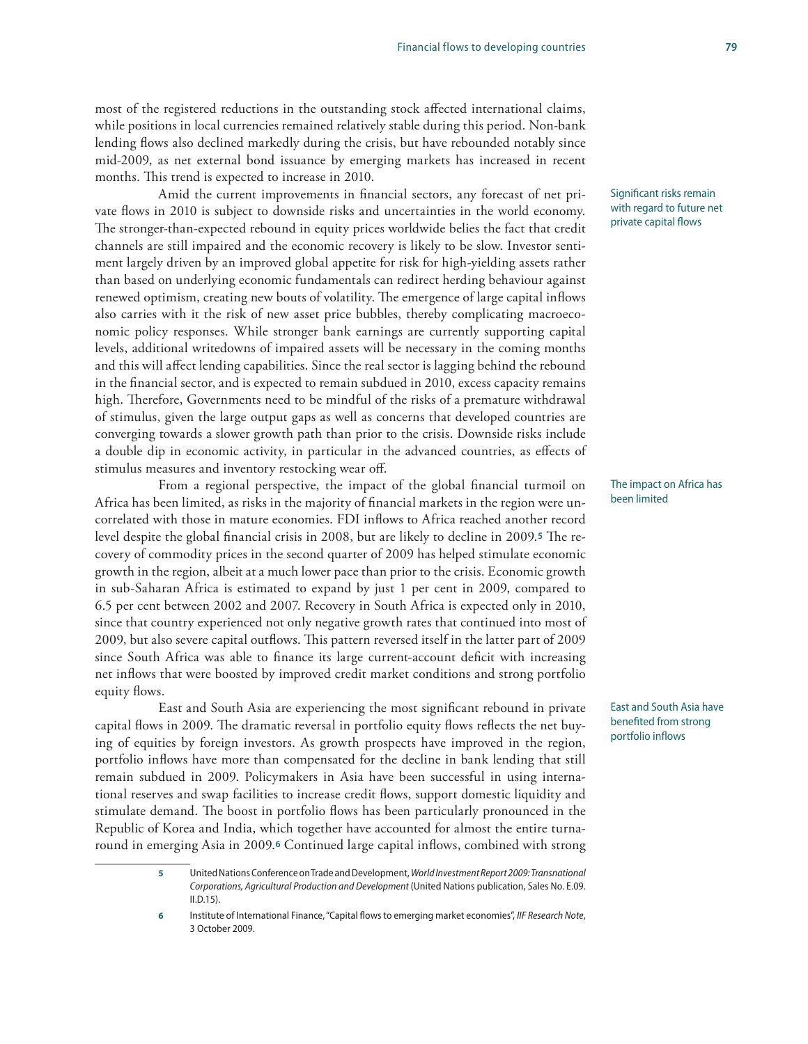most of the registered reductions in the outstanding stock affected international claims, while positions in local currencies remained relatively stable during this period. Non-bank lending flows also declined markedly during the crisis, but have rebounded notably since mid-2009, as net external bond issuance by emerging markets has increased in recent months. This trend is expected to increase in 2010.

Amid the current improvements in financial sectors, any forecast of net private flows in 2010 is subject to downside risks and uncertainties in the world economy. The stronger-than-expected rebound in equity prices worldwide belies the fact that credit channels are still impaired and the economic recovery is likely to be slow. Investor sentiment largely driven by an improved global appetite for risk for high-yielding assets rather than based on underlying economic fundamentals can redirect herding behaviour against renewed optimism, creating new bouts of volatility. The emergence of large capital inflows also carries with it the risk of new asset price bubbles, thereby complicating macroeconomic policy responses. While stronger bank earnings are currently supporting capital levels, additional writedowns of impaired assets will be necessary in the coming months and this will affect lending capabilities. Since the real sector is lagging behind the rebound in the financial sector, and is expected to remain subdued in 2010, excess capacity remains high. Therefore, Governments need to be mindful of the risks of a premature withdrawal of stimulus, given the large output gaps as well as concerns that developed countries are converging towards a slower growth path than prior to the crisis. Downside risks include a double dip in economic activity, in particular in the advanced countries, as effects of stimulus measures and inventory restocking wear off.

From a regional perspective, the impact of the global financial turmoil on Africa has been limited, as risks in the majority of financial markets in the region were uncorrelated with those in mature economies. FDI inflows to Africa reached another record level despite the global financial crisis in 2008, but are likely to decline in 2009.**5** The recovery of commodity prices in the second quarter of 2009 has helped stimulate economic growth in the region, albeit at a much lower pace than prior to the crisis. Economic growth in sub-Saharan Africa is estimated to expand by just 1 per cent in 2009, compared to 6.5 per cent between 2002 and 2007. Recovery in South Africa is expected only in 2010, since that country experienced not only negative growth rates that continued into most of 2009, but also severe capital outflows. This pattern reversed itself in the latter part of 2009 since South Africa was able to finance its large current-account deficit with increasing net inflows that were boosted by improved credit market conditions and strong portfolio equity flows.

East and South Asia are experiencing the most significant rebound in private capital flows in 2009. The dramatic reversal in portfolio equity flows reflects the net buying of equities by foreign investors. As growth prospects have improved in the region, portfolio inflows have more than compensated for the decline in bank lending that still remain subdued in 2009. Policymakers in Asia have been successful in using international reserves and swap facilities to increase credit flows, support domestic liquidity and stimulate demand. The boost in portfolio flows has been particularly pronounced in the Republic of Korea and India, which together have accounted for almost the entire turnaround in emerging Asia in 2009.**6** Continued large capital inflows, combined with strong

#### Significant risks remain with regard to future net private capital flows

#### The impact on Africa has been limited

East and South Asia have benefited from strong portfolio inflows

**<sup>5</sup>** United Nations Conference on Trade and Development, *World Investment Report 2009: Transnational Corporations, Agricultural Production and Development* (United Nations publication, Sales No. E.09. II.D.15).

**<sup>6</sup>** Institute of International Finance, "Capital flows to emerging market economies", *IIF Research Note*, 3 October 2009.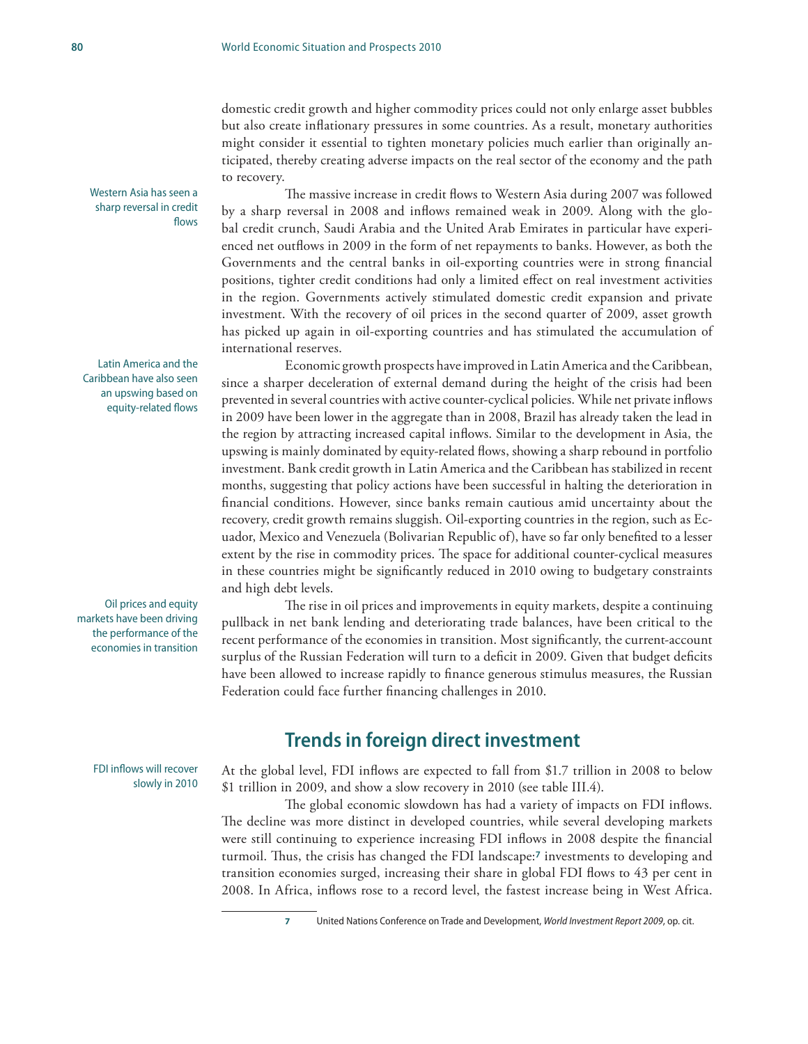domestic credit growth and higher commodity prices could not only enlarge asset bubbles but also create inflationary pressures in some countries. As a result, monetary authorities might consider it essential to tighten monetary policies much earlier than originally anticipated, thereby creating adverse impacts on the real sector of the economy and the path to recovery.

The massive increase in credit flows to Western Asia during 2007 was followed by a sharp reversal in 2008 and inflows remained weak in 2009. Along with the global credit crunch, Saudi Arabia and the United Arab Emirates in particular have experienced net outflows in 2009 in the form of net repayments to banks. However, as both the Governments and the central banks in oil-exporting countries were in strong financial positions, tighter credit conditions had only a limited effect on real investment activities in the region. Governments actively stimulated domestic credit expansion and private investment. With the recovery of oil prices in the second quarter of 2009, asset growth has picked up again in oil-exporting countries and has stimulated the accumulation of international reserves.

Economic growth prospects have improved in Latin America and the Caribbean, since a sharper deceleration of external demand during the height of the crisis had been prevented in several countries with active counter-cyclical policies. While net private inflows in 2009 have been lower in the aggregate than in 2008, Brazil has already taken the lead in the region by attracting increased capital inflows. Similar to the development in Asia, the upswing is mainly dominated by equity-related flows, showing a sharp rebound in portfolio investment. Bank credit growth in Latin America and the Caribbean has stabilized in recent months, suggesting that policy actions have been successful in halting the deterioration in financial conditions. However, since banks remain cautious amid uncertainty about the recovery, credit growth remains sluggish. Oil-exporting countries in the region, such as Ecuador, Mexico and Venezuela (Bolivarian Republic of), have so far only benefited to a lesser extent by the rise in commodity prices. The space for additional counter-cyclical measures in these countries might be significantly reduced in 2010 owing to budgetary constraints and high debt levels.

The rise in oil prices and improvements in equity markets, despite a continuing pullback in net bank lending and deteriorating trade balances, have been critical to the recent performance of the economies in transition. Most significantly, the current-account surplus of the Russian Federation will turn to a deficit in 2009. Given that budget deficits have been allowed to increase rapidly to finance generous stimulus measures, the Russian Federation could face further financing challenges in 2010.

## **Trends in foreign direct investment**

At the global level, FDI inflows are expected to fall from \$1.7 trillion in 2008 to below \$1 trillion in 2009, and show a slow recovery in 2010 (see table III.4).

The global economic slowdown has had a variety of impacts on FDI inflows. The decline was more distinct in developed countries, while several developing markets were still continuing to experience increasing FDI inflows in 2008 despite the financial turmoil. Thus, the crisis has changed the FDI landscape:**7** investments to developing and transition economies surged, increasing their share in global FDI flows to 43 per cent in 2008. In Africa, inflows rose to a record level, the fastest increase being in West Africa.

Western Asia has seen a sharp reversal in credit flows

Latin America and the Caribbean have also seen an upswing based on equity-related flows

Oil prices and equity markets have been driving the performance of the economies in transition

> FDI inflows will recover slowly in 2010

**<sup>7</sup>** United Nations Conference on Trade and Development, *World Investment Report 2009*, op. cit.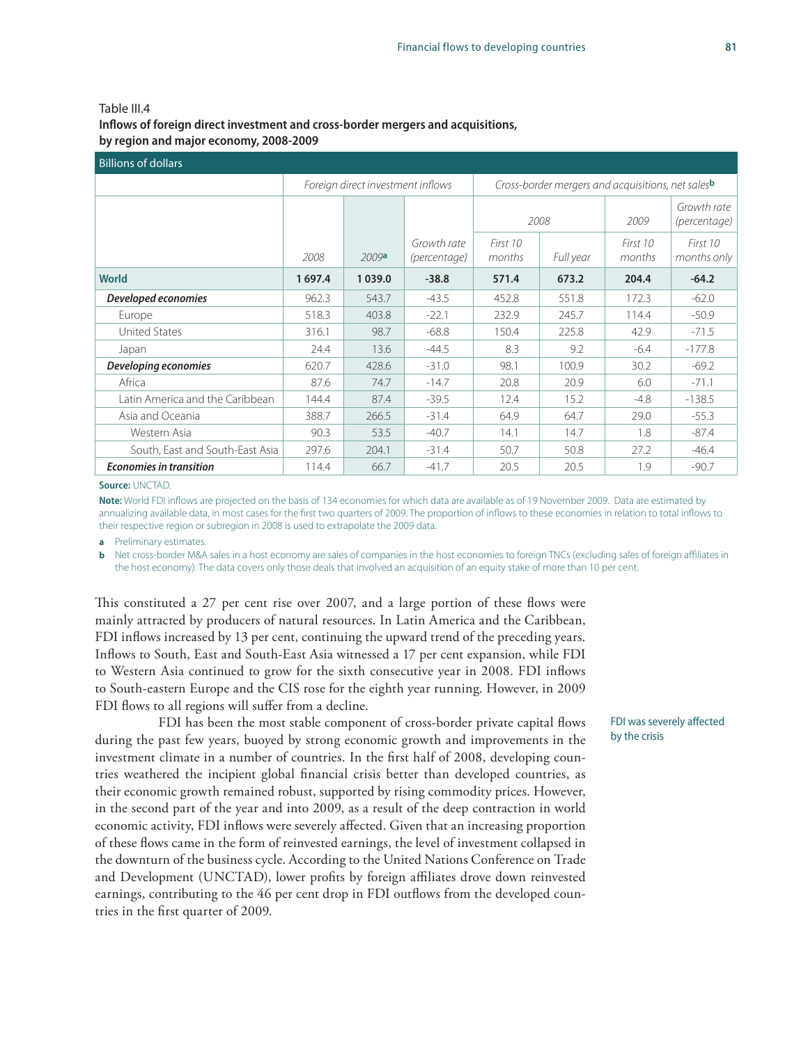#### Table III.4 **Inflows of foreign direct investment and cross-border mergers and acquisitions, by region and major economy, 2008-2009**

| <b>Billions of dollars</b>      |        |                                   |                             |                                                   |           |                    |                             |  |  |  |
|---------------------------------|--------|-----------------------------------|-----------------------------|---------------------------------------------------|-----------|--------------------|-----------------------------|--|--|--|
|                                 |        | Foreign direct investment inflows |                             | Cross-border mergers and acquisitions, net salesb |           |                    |                             |  |  |  |
|                                 |        |                                   |                             | 2008                                              |           | 2009               | Growth rate<br>(percentage) |  |  |  |
|                                 | 2008   | 2009a                             | Growth rate<br>(percentage) | First 10<br>months                                | Full year | First 10<br>months | First 10<br>months only     |  |  |  |
| <b>World</b>                    | 1697.4 | 1039.0                            | $-38.8$                     | 571.4                                             | 673.2     | 204.4              | $-64.2$                     |  |  |  |
| Developed economies             | 962.3  | 543.7                             | $-43.5$                     | 452.8                                             | 551.8     | 172.3              | $-62.0$                     |  |  |  |
| Europe                          | 518.3  | 403.8                             | $-22.1$                     | 232.9                                             | 245.7     | 114.4              | $-50.9$                     |  |  |  |
| <b>United States</b>            | 316.1  | 98.7                              | $-68.8$                     | 150.4                                             | 225.8     | 42.9               | $-71.5$                     |  |  |  |
| Japan                           | 24.4   | 13.6                              | $-44.5$                     | 8.3                                               | 9.2       | $-6.4$             | $-177.8$                    |  |  |  |
| Developing economies            | 620.7  | 428.6                             | $-31.0$                     | 98.1                                              | 100.9     | 30.2               | $-69.2$                     |  |  |  |
| Africa                          | 87.6   | 74.7                              | $-14.7$                     | 20.8                                              | 20.9      | 6.0                | $-71.1$                     |  |  |  |
| Latin America and the Caribbean | 144.4  | 87.4                              | $-39.5$                     | 12.4                                              | 15.2      | $-4.8$             | $-138.5$                    |  |  |  |
| Asia and Oceania                | 388.7  | 266.5                             | $-31.4$                     | 64.9                                              | 64.7      | 29.0               | $-55.3$                     |  |  |  |
| Western Asia                    | 90.3   | 53.5                              | $-40.7$                     | 14.1                                              | 14.7      | 1.8                | $-87.4$                     |  |  |  |
| South, East and South-East Asia | 297.6  | 204.1                             | $-31.4$                     | 50.7                                              | 50.8      | 27.2               | $-46.4$                     |  |  |  |
| <b>Economies in transition</b>  | 114.4  | 66.7                              | $-41.7$                     | 20.5                                              | 20.5      | 1.9                | $-90.7$                     |  |  |  |

#### **Source:** UNCTAD.

**Note:** World FDI inflows are projected on the basis of 134 economies for which data are available as of 19 November 2009. Data are estimated by annualizing available data, in most cases for the first two quarters of 2009. The proportion of inflows to these economies in relation to total inflows to their respective region or subregion in 2008 is used to extrapolate the 2009 data.

**a** Preliminary estimates.

**b** Net cross-border M&A sales in a host economy are sales of companies in the host economies to foreign TNCs (excluding sales of foreign affiliates in the host economy). The data covers only those deals that involved an acquisition of an equity stake of more than 10 per cent.

This constituted a 27 per cent rise over 2007, and a large portion of these flows were mainly attracted by producers of natural resources. In Latin America and the Caribbean, FDI inflows increased by 13 per cent, continuing the upward trend of the preceding years. Inflows to South, East and South-East Asia witnessed a 17 per cent expansion, while FDI to Western Asia continued to grow for the sixth consecutive year in 2008. FDI inflows to South-eastern Europe and the CIS rose for the eighth year running. However, in 2009 FDI flows to all regions will suffer from a decline.

FDI has been the most stable component of cross-border private capital flows during the past few years, buoyed by strong economic growth and improvements in the investment climate in a number of countries. In the first half of 2008, developing countries weathered the incipient global financial crisis better than developed countries, as their economic growth remained robust, supported by rising commodity prices. However, in the second part of the year and into 2009, as a result of the deep contraction in world economic activity, FDI inflows were severely affected. Given that an increasing proportion of these flows came in the form of reinvested earnings, the level of investment collapsed in the downturn of the business cycle. According to the United Nations Conference on Trade and Development (UNCTAD), lower profits by foreign affiliates drove down reinvested earnings, contributing to the 46 per cent drop in FDI outflows from the developed countries in the first quarter of 2009.

FDI was severely affected by the crisis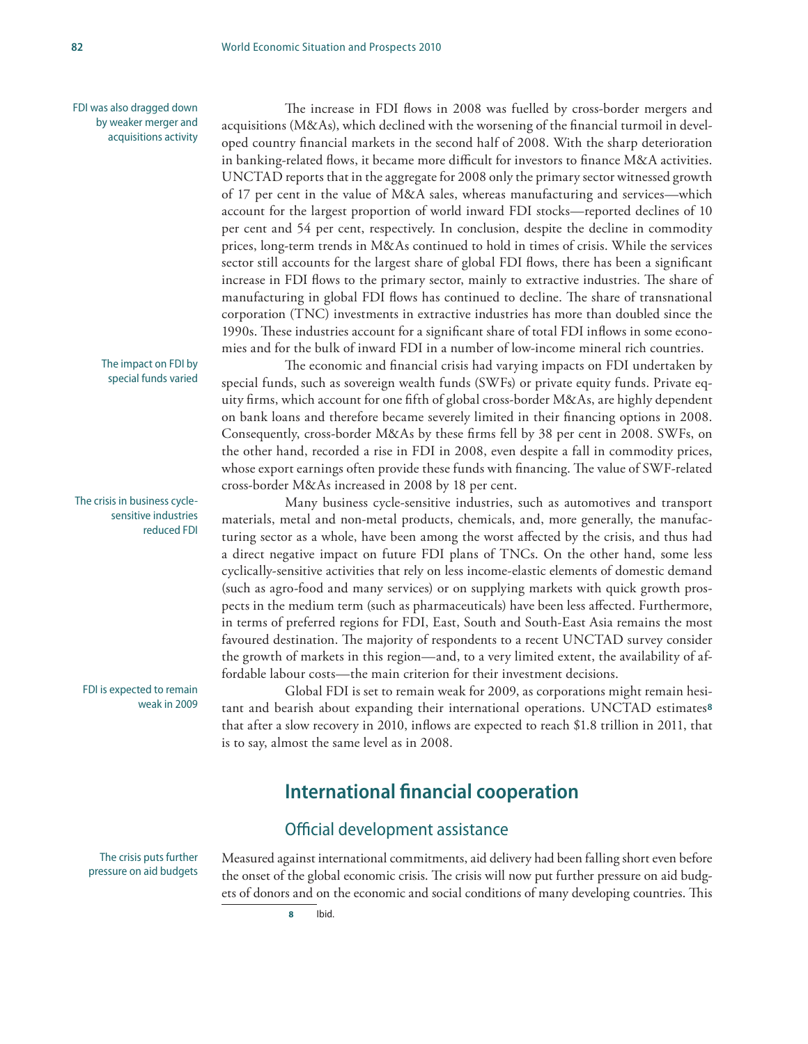FDI was also dragged down by weaker merger and acquisitions activity

The increase in FDI flows in 2008 was fuelled by cross-border mergers and acquisitions (M&As), which declined with the worsening of the financial turmoil in developed country financial markets in the second half of 2008. With the sharp deterioration in banking-related flows, it became more difficult for investors to finance M&A activities. UNCTAD reports that in the aggregate for 2008 only the primary sector witnessed growth of 17 per cent in the value of M&A sales, whereas manufacturing and services—which account for the largest proportion of world inward FDI stocks—reported declines of 10 per cent and 54 per cent, respectively. In conclusion, despite the decline in commodity prices, long-term trends in M&As continued to hold in times of crisis. While the services sector still accounts for the largest share of global FDI flows, there has been a significant increase in FDI flows to the primary sector, mainly to extractive industries. The share of manufacturing in global FDI flows has continued to decline. The share of transnational corporation (TNC) investments in extractive industries has more than doubled since the 1990s. These industries account for a significant share of total FDI inflows in some economies and for the bulk of inward FDI in a number of low-income mineral rich countries.

The economic and financial crisis had varying impacts on FDI undertaken by special funds, such as sovereign wealth funds (SWFs) or private equity funds. Private equity firms, which account for one fifth of global cross-border M&As, are highly dependent on bank loans and therefore became severely limited in their financing options in 2008. Consequently, cross-border M&As by these firms fell by 38 per cent in 2008. SWFs, on the other hand, recorded a rise in FDI in 2008, even despite a fall in commodity prices, whose export earnings often provide these funds with financing. The value of SWF-related cross-border M&As increased in 2008 by 18 per cent.

Many business cycle-sensitive industries, such as automotives and transport materials, metal and non-metal products, chemicals, and, more generally, the manufacturing sector as a whole, have been among the worst affected by the crisis, and thus had a direct negative impact on future FDI plans of TNCs. On the other hand, some less cyclically-sensitive activities that rely on less income-elastic elements of domestic demand (such as agro-food and many services) or on supplying markets with quick growth prospects in the medium term (such as pharmaceuticals) have been less affected. Furthermore, in terms of preferred regions for FDI, East, South and South-East Asia remains the most favoured destination. The majority of respondents to a recent UNCTAD survey consider the growth of markets in this region—and, to a very limited extent, the availability of affordable labour costs—the main criterion for their investment decisions.

Global FDI is set to remain weak for 2009, as corporations might remain hesitant and bearish about expanding their international operations. UNCTAD estimates**<sup>8</sup>** that after a slow recovery in 2010, inflows are expected to reach \$1.8 trillion in 2011, that is to say, almost the same level as in 2008.

## **International financial cooperation**

### Official development assistance

Measured against international commitments, aid delivery had been falling short even before the onset of the global economic crisis. The crisis will now put further pressure on aid budgets of donors and on the economic and social conditions of many developing countries. This

The crisis puts further pressure on aid budgets

The impact on FDI by special funds varied

The crisis in business cyclesensitive industries reduced FDI

FDI is expected to remain weak in 2009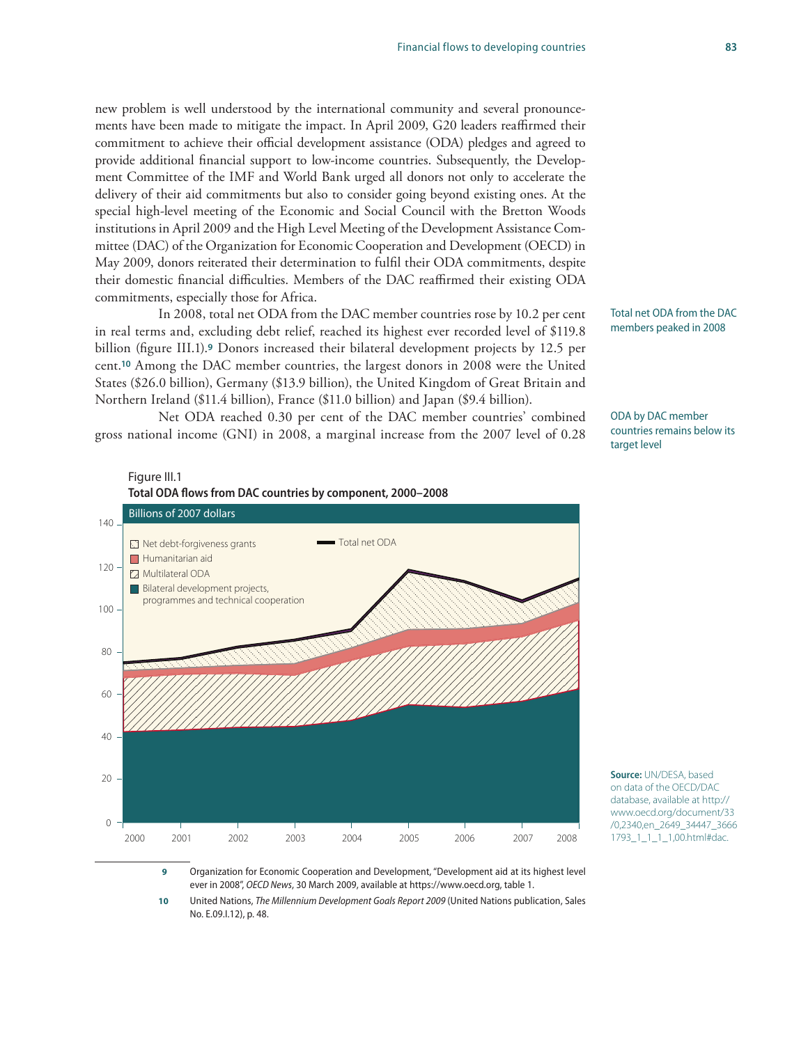### new problem is well understood by the international community and several pronouncements have been made to mitigate the impact. In April 2009, G20 leaders reaffirmed their commitment to achieve their official development assistance (ODA) pledges and agreed to provide additional financial support to low-income countries. Subsequently, the Development Committee of the IMF and World Bank urged all donors not only to accelerate the delivery of their aid commitments but also to consider going beyond existing ones. At the special high-level meeting of the Economic and Social Council with the Bretton Woods institutions in April 2009 and the High Level Meeting of the Development Assistance Committee (DAC) of the Organization for Economic Cooperation and Development (OECD) in May 2009, donors reiterated their determination to fulfil their ODA commitments, despite their domestic financial difficulties. Members of the DAC reaffirmed their existing ODA commitments, especially those for Africa.

In 2008, total net ODA from the DAC member countries rose by 10.2 per cent in real terms and, excluding debt relief, reached its highest ever recorded level of \$119.8 billion (figure III.1).**9** Donors increased their bilateral development projects by 12.5 per cent.**10** Among the DAC member countries, the largest donors in 2008 were the United States (\$26.0 billion), Germany (\$13.9 billion), the United Kingdom of Great Britain and Northern Ireland (\$11.4 billion), France (\$11.0 billion) and Japan (\$9.4 billion).

Net ODA reached 0.30 per cent of the DAC member countries' combined gross national income (GNI) in 2008, a marginal increase from the 2007 level of 0.28

Figure III.1

Total net ODA from the DAC members peaked in 2008

ODA by DAC member countries remains below its target level



**Source:** UN/DESA, based on data of the OECD/DAC database, available at http:// www.oecd.org/document/33 /0,2340,en\_2649\_34447\_3666 1793\_1\_1\_1\_1,00.html#dac.

 **9** Organization for Economic Cooperation and Development, "Development aid at its highest level ever in 2008", *OECD News*, 30 March 2009, available at https://www.oecd.org, table 1.

**10** United Nations, *The Millennium Development Goals Report 2009* (United Nations publication, Sales No. E.09.I.12), p. 48.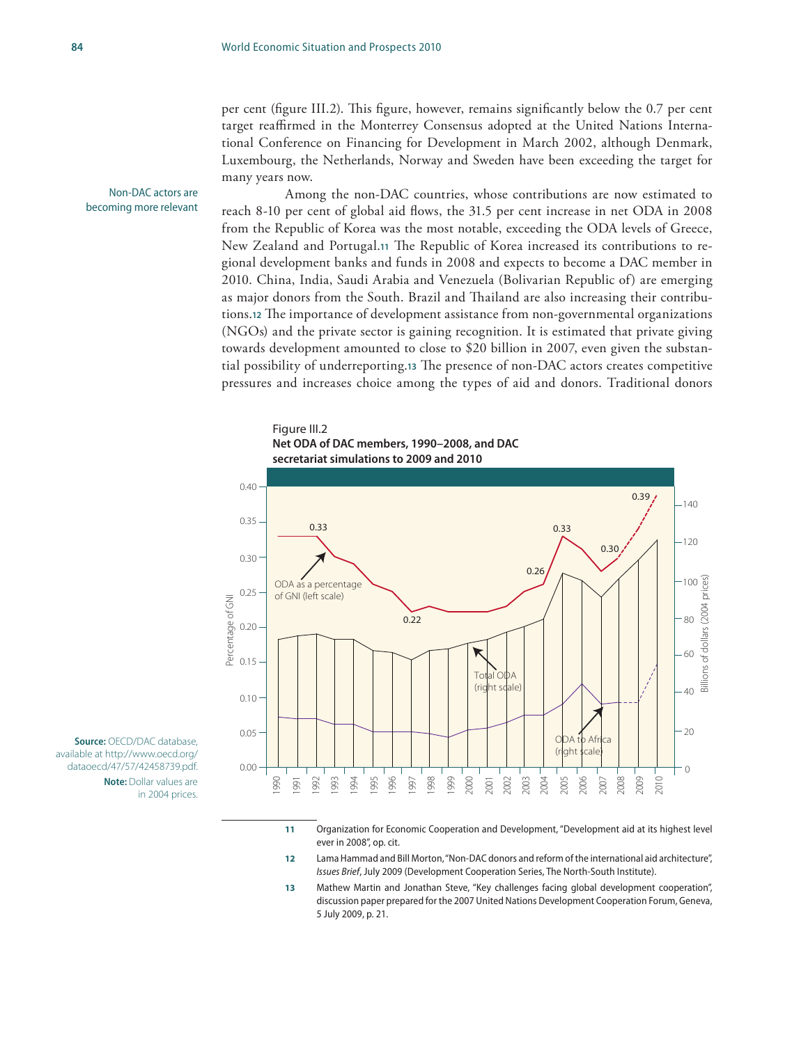per cent (figure III.2). This figure, however, remains significantly below the 0.7 per cent target reaffirmed in the Monterrey Consensus adopted at the United Nations International Conference on Financing for Development in March 2002, although Denmark, Luxembourg, the Netherlands, Norway and Sweden have been exceeding the target for many years now.

Non-DAC actors are becoming more relevant

Among the non-DAC countries, whose contributions are now estimated to reach 8-10 per cent of global aid flows, the 31.5 per cent increase in net ODA in 2008 from the Republic of Korea was the most notable, exceeding the ODA levels of Greece, New Zealand and Portugal.**11** The Republic of Korea increased its contributions to regional development banks and funds in 2008 and expects to become a DAC member in 2010. China, India, Saudi Arabia and Venezuela (Bolivarian Republic of) are emerging as major donors from the South. Brazil and Thailand are also increasing their contributions.**12** The importance of development assistance from non-governmental organizations (NGOs) and the private sector is gaining recognition. It is estimated that private giving towards development amounted to close to \$20 billion in 2007, even given the substantial possibility of underreporting.**13** The presence of non-DAC actors creates competitive pressures and increases choice among the types of aid and donors. Traditional donors

#### Figure III.2

**Net ODA of DAC members, 1990–2008, and DAC** 

**secretariat simulations to 2009 and 2010**



**Source:** OECD/DAC database, available at http://www.oecd.org/ dataoecd/47/57/42458739.pdf. **Note:** Dollar values are

in 2004 prices.

- **11** Organization for Economic Cooperation and Development, "Development aid at its highest level ever in 2008", op. cit.
- **12** Lama Hammad and Bill Morton, "Non-DAC donors and reform of the international aid architecture", *Issues Brief*, July 2009 (Development Cooperation Series, The North-South Institute).
- **13** Mathew Martin and Jonathan Steve, "Key challenges facing global development cooperation", discussion paper prepared for the 2007 United Nations Development Cooperation Forum, Geneva, 5 July 2009, p. 21.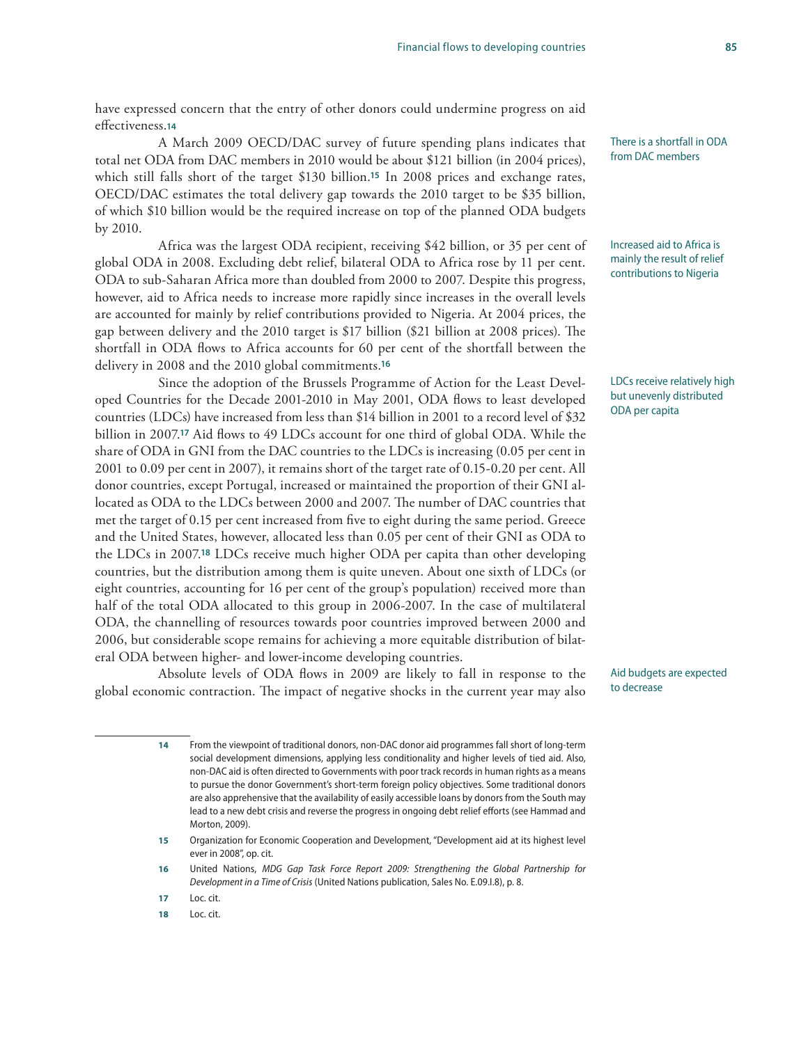effectiveness.**<sup>14</sup>** A March 2009 OECD/DAC survey of future spending plans indicates that total net ODA from DAC members in 2010 would be about \$121 billion (in 2004 prices), which still falls short of the target \$130 billion.**15** In 2008 prices and exchange rates, OECD/DAC estimates the total delivery gap towards the 2010 target to be \$35 billion, of which \$10 billion would be the required increase on top of the planned ODA budgets by 2010.

Africa was the largest ODA recipient, receiving \$42 billion, or 35 per cent of global ODA in 2008. Excluding debt relief, bilateral ODA to Africa rose by 11 per cent. ODA to sub-Saharan Africa more than doubled from 2000 to 2007. Despite this progress, however, aid to Africa needs to increase more rapidly since increases in the overall levels are accounted for mainly by relief contributions provided to Nigeria. At 2004 prices, the gap between delivery and the 2010 target is \$17 billion (\$21 billion at 2008 prices). The shortfall in ODA flows to Africa accounts for 60 per cent of the shortfall between the delivery in 2008 and the 2010 global commitments.**<sup>16</sup>**

Since the adoption of the Brussels Programme of Action for the Least Developed Countries for the Decade 2001-2010 in May 2001, ODA flows to least developed countries (LDCs) have increased from less than \$14 billion in 2001 to a record level of \$32 billion in 2007.**17** Aid flows to 49 LDCs account for one third of global ODA. While the share of ODA in GNI from the DAC countries to the LDCs is increasing (0.05 per cent in 2001 to 0.09 per cent in 2007), it remains short of the target rate of 0.15-0.20 per cent. All donor countries, except Portugal, increased or maintained the proportion of their GNI allocated as ODA to the LDCs between 2000 and 2007. The number of DAC countries that met the target of 0.15 per cent increased from five to eight during the same period. Greece and the United States, however, allocated less than 0.05 per cent of their GNI as ODA to the LDCs in 2007.**18** LDCs receive much higher ODA per capita than other developing countries, but the distribution among them is quite uneven. About one sixth of LDCs (or eight countries, accounting for 16 per cent of the group's population) received more than half of the total ODA allocated to this group in 2006-2007. In the case of multilateral ODA, the channelling of resources towards poor countries improved between 2000 and 2006, but considerable scope remains for achieving a more equitable distribution of bilateral ODA between higher- and lower-income developing countries.

Absolute levels of ODA flows in 2009 are likely to fall in response to the global economic contraction. The impact of negative shocks in the current year may also

> **14** From the viewpoint of traditional donors, non-DAC donor aid programmes fall short of long-term social development dimensions, applying less conditionality and higher levels of tied aid. Also, non-DAC aid is often directed to Governments with poor track records in human rights as a means to pursue the donor Government's short-term foreign policy objectives. Some traditional donors are also apprehensive that the availability of easily accessible loans by donors from the South may lead to a new debt crisis and reverse the progress in ongoing debt relief efforts (see Hammad and Morton, 2009).

There is a shortfall in ODA from DAC members

Increased aid to Africa is mainly the result of relief contributions to Nigeria

LDCs receive relatively high but unevenly distributed ODA per capita

Aid budgets are expected to decrease

**<sup>15</sup>** Organization for Economic Cooperation and Development, "Development aid at its highest level ever in 2008", op. cit.

**<sup>16</sup>** United Nations, *MDG Gap Task Force Report 2009: Strengthening the Global Partnership for Development in a Time of Crisis* (United Nations publication, Sales No. E.09.I.8), p. 8.

**<sup>17</sup>** Loc. cit.

**<sup>18</sup>** Loc. cit.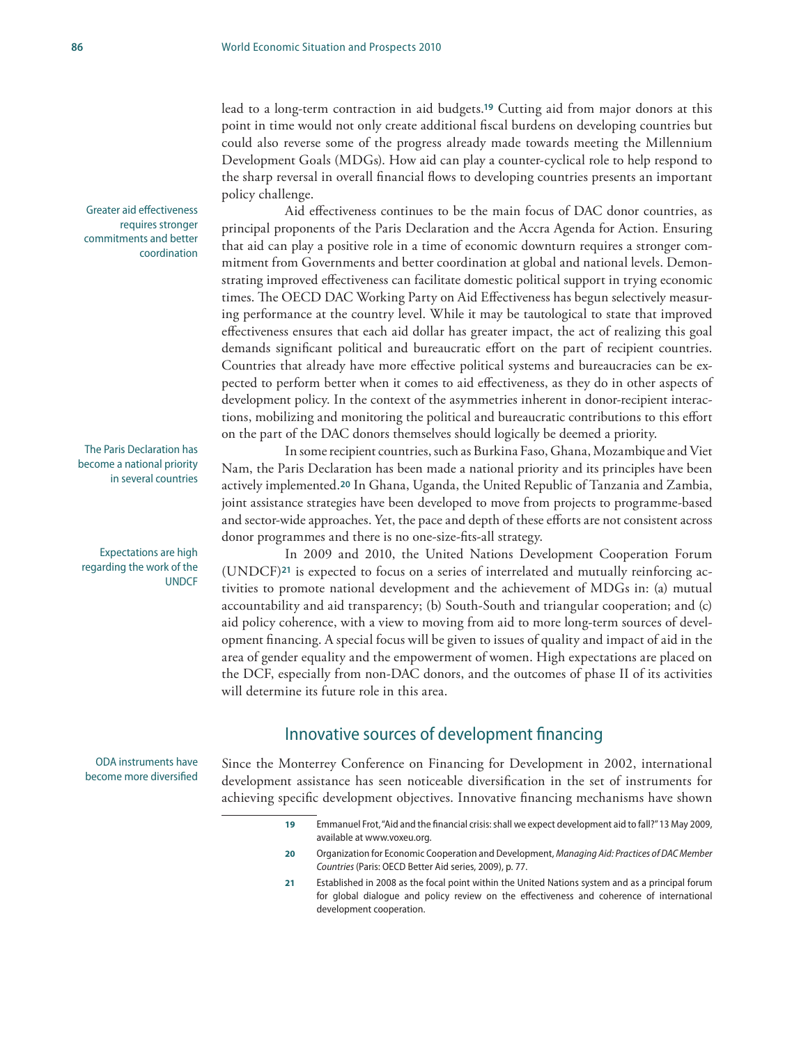lead to a long-term contraction in aid budgets.**19** Cutting aid from major donors at this point in time would not only create additional fiscal burdens on developing countries but could also reverse some of the progress already made towards meeting the Millennium Development Goals (MDGs). How aid can play a counter-cyclical role to help respond to the sharp reversal in overall financial flows to developing countries presents an important policy challenge.

Aid effectiveness continues to be the main focus of DAC donor countries, as principal proponents of the Paris Declaration and the Accra Agenda for Action. Ensuring that aid can play a positive role in a time of economic downturn requires a stronger commitment from Governments and better coordination at global and national levels. Demonstrating improved effectiveness can facilitate domestic political support in trying economic times. The OECD DAC Working Party on Aid Effectiveness has begun selectively measuring performance at the country level. While it may be tautological to state that improved effectiveness ensures that each aid dollar has greater impact, the act of realizing this goal demands significant political and bureaucratic effort on the part of recipient countries. Countries that already have more effective political systems and bureaucracies can be expected to perform better when it comes to aid effectiveness, as they do in other aspects of development policy. In the context of the asymmetries inherent in donor-recipient interactions, mobilizing and monitoring the political and bureaucratic contributions to this effort on the part of the DAC donors themselves should logically be deemed a priority.

In some recipient countries, such as Burkina Faso, Ghana, Mozambique and Viet Nam, the Paris Declaration has been made a national priority and its principles have been actively implemented.**20** In Ghana, Uganda, the United Republic of Tanzania and Zambia, joint assistance strategies have been developed to move from projects to programme-based and sector-wide approaches. Yet, the pace and depth of these efforts are not consistent across donor programmes and there is no one-size-fits-all strategy.

In 2009 and 2010, the United Nations Development Cooperation Forum (UNDCF)**21** is expected to focus on a series of interrelated and mutually reinforcing activities to promote national development and the achievement of MDGs in: (a) mutual accountability and aid transparency; (b) South-South and triangular cooperation; and (c) aid policy coherence, with a view to moving from aid to more long-term sources of development financing. A special focus will be given to issues of quality and impact of aid in the area of gender equality and the empowerment of women. High expectations are placed on the DCF, especially from non-DAC donors, and the outcomes of phase II of its activities will determine its future role in this area.

### Innovative sources of development financing

Since the Monterrey Conference on Financing for Development in 2002, international development assistance has seen noticeable diversification in the set of instruments for achieving specific development objectives. Innovative financing mechanisms have shown

- **19** Emmanuel Frot, "Aid and the financial crisis: shall we expect development aid to fall?" 13 May 2009, available at www.voxeu.org.
- **20** Organization for Economic Cooperation and Development, *Managing Aid: Practices of DAC Member Countries* (Paris: OECD Better Aid series, 2009), p. 77.
- **21** Established in 2008 as the focal point within the United Nations system and as a principal forum for global dialogue and policy review on the effectiveness and coherence of international development cooperation.

Greater aid effectiveness requires stronger commitments and better coordination

The Paris Declaration has become a national priority in several countries

Expectations are high regarding the work of the **UNDCF** 

ODA instruments have become more diversified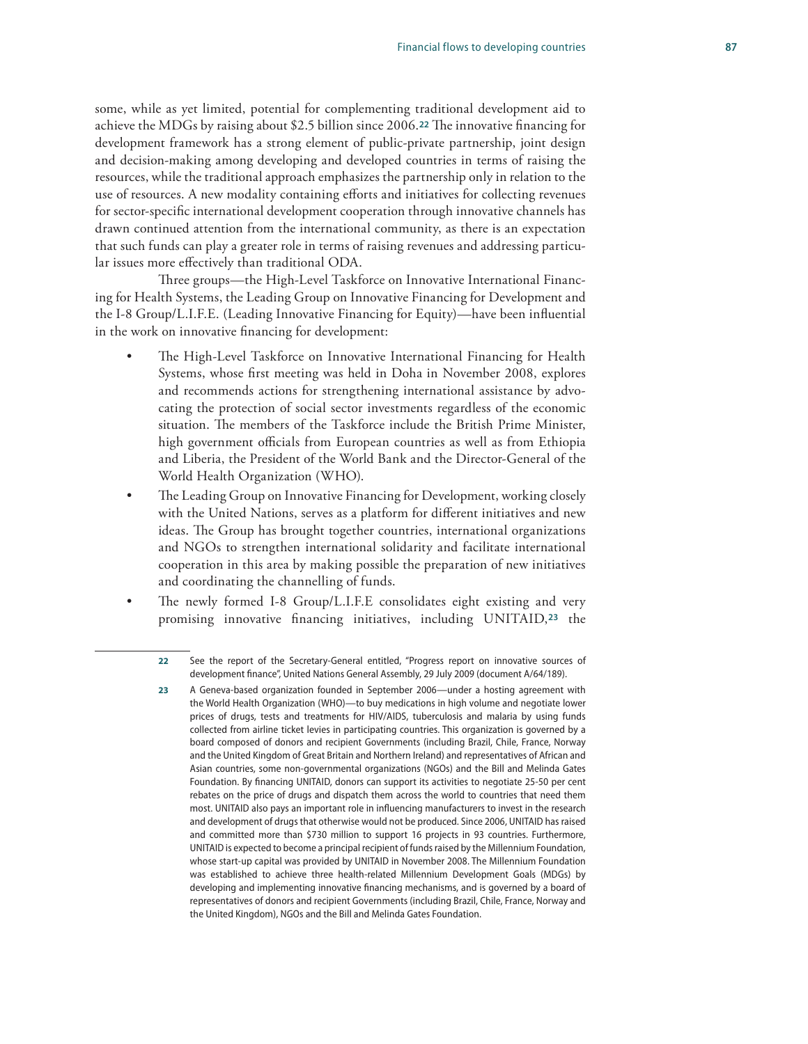some, while as yet limited, potential for complementing traditional development aid to achieve the MDGs by raising about \$2.5 billion since 2006.**22** The innovative financing for development framework has a strong element of public-private partnership, joint design and decision-making among developing and developed countries in terms of raising the resources, while the traditional approach emphasizes the partnership only in relation to the use of resources. A new modality containing efforts and initiatives for collecting revenues for sector-specific international development cooperation through innovative channels has drawn continued attention from the international community, as there is an expectation that such funds can play a greater role in terms of raising revenues and addressing particular issues more effectively than traditional ODA.

Three groups—the High-Level Taskforce on Innovative International Financing for Health Systems, the Leading Group on Innovative Financing for Development and the I-8 Group/L.I.F.E. (Leading Innovative Financing for Equity)—have been influential in the work on innovative financing for development:

- The High-Level Taskforce on Innovative International Financing for Health Systems, whose first meeting was held in Doha in November 2008, explores and recommends actions for strengthening international assistance by advocating the protection of social sector investments regardless of the economic situation. The members of the Taskforce include the British Prime Minister, high government officials from European countries as well as from Ethiopia and Liberia, the President of the World Bank and the Director-General of the World Health Organization (WHO).
- The Leading Group on Innovative Financing for Development, working closely with the United Nations, serves as a platform for different initiatives and new ideas. The Group has brought together countries, international organizations and NGOs to strengthen international solidarity and facilitate international cooperation in this area by making possible the preparation of new initiatives and coordinating the channelling of funds.
- The newly formed I-8 Group/L.I.F.E consolidates eight existing and very promising innovative financing initiatives, including UNITAID,**23** the

**<sup>22</sup>** See the report of the Secretary-General entitled, "Progress report on innovative sources of development finance", United Nations General Assembly, 29 July 2009 (document A/64/189).

**<sup>23</sup>** A Geneva-based organization founded in September 2006—under a hosting agreement with the World Health Organization (WHO)—to buy medications in high volume and negotiate lower prices of drugs, tests and treatments for HIV/AIDS, tuberculosis and malaria by using funds collected from airline ticket levies in participating countries. This organization is governed by a board composed of donors and recipient Governments (including Brazil, Chile, France, Norway and the United Kingdom of Great Britain and Northern Ireland) and representatives of African and Asian countries, some non-governmental organizations (NGOs) and the Bill and Melinda Gates Foundation. By financing UNITAID, donors can support its activities to negotiate 25-50 per cent rebates on the price of drugs and dispatch them across the world to countries that need them most. UNITAID also pays an important role in influencing manufacturers to invest in the research and development of drugs that otherwise would not be produced. Since 2006, UNITAID has raised and committed more than \$730 million to support 16 projects in 93 countries. Furthermore, UNITAID is expected to become a principal recipient of funds raised by the Millennium Foundation, whose start-up capital was provided by UNITAID in November 2008. The Millennium Foundation was established to achieve three health-related Millennium Development Goals (MDGs) by developing and implementing innovative financing mechanisms, and is governed by a board of representatives of donors and recipient Governments (including Brazil, Chile, France, Norway and the United Kingdom), NGOs and the Bill and Melinda Gates Foundation.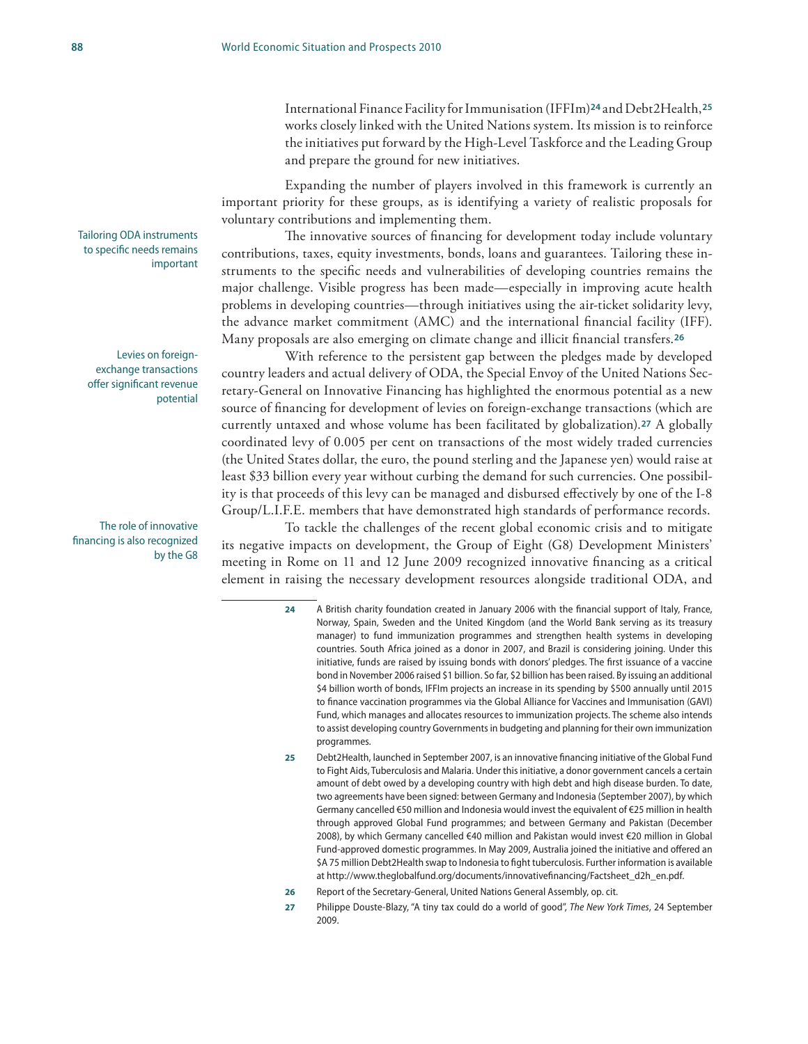International Finance Facility for Immunisation (IFFIm)**24** and Debt2Health,**<sup>25</sup>** works closely linked with the United Nations system. Its mission is to reinforce the initiatives put forward by the High-Level Taskforce and the Leading Group and prepare the ground for new initiatives.

Expanding the number of players involved in this framework is currently an important priority for these groups, as is identifying a variety of realistic proposals for voluntary contributions and implementing them.

The innovative sources of financing for development today include voluntary contributions, taxes, equity investments, bonds, loans and guarantees. Tailoring these instruments to the specific needs and vulnerabilities of developing countries remains the major challenge. Visible progress has been made—especially in improving acute health problems in developing countries—through initiatives using the air-ticket solidarity levy, the advance market commitment (AMC) and the international financial facility (IFF). Many proposals are also emerging on climate change and illicit financial transfers.**<sup>26</sup>**

With reference to the persistent gap between the pledges made by developed country leaders and actual delivery of ODA, the Special Envoy of the United Nations Secretary-General on Innovative Financing has highlighted the enormous potential as a new source of financing for development of levies on foreign-exchange transactions (which are currently untaxed and whose volume has been facilitated by globalization).**27** A globally coordinated levy of 0.005 per cent on transactions of the most widely traded currencies (the United States dollar, the euro, the pound sterling and the Japanese yen) would raise at least \$33 billion every year without curbing the demand for such currencies. One possibility is that proceeds of this levy can be managed and disbursed effectively by one of the I-8 Group/L.I.F.E. members that have demonstrated high standards of performance records.

To tackle the challenges of the recent global economic crisis and to mitigate its negative impacts on development, the Group of Eight (G8) Development Ministers' meeting in Rome on 11 and 12 June 2009 recognized innovative financing as a critical element in raising the necessary development resources alongside traditional ODA, and

- **24** A British charity foundation created in January 2006 with the financial support of Italy, France, Norway, Spain, Sweden and the United Kingdom (and the World Bank serving as its treasury manager) to fund immunization programmes and strengthen health systems in developing countries. South Africa joined as a donor in 2007, and Brazil is considering joining. Under this initiative, funds are raised by issuing bonds with donors' pledges. The first issuance of a vaccine bond in November 2006 raised \$1 billion. So far, \$2 billion has been raised. By issuing an additional \$4 billion worth of bonds, IFFIm projects an increase in its spending by \$500 annually until 2015 to finance vaccination programmes via the Global Alliance for Vaccines and Immunisation (GAVI) Fund, which manages and allocates resources to immunization projects. The scheme also intends to assist developing country Governments in budgeting and planning for their own immunization programmes.
- **25** Debt2Health, launched in September 2007, is an innovative financing initiative of the Global Fund to Fight Aids, Tuberculosis and Malaria. Under this initiative, a donor government cancels a certain amount of debt owed by a developing country with high debt and high disease burden. To date, two agreements have been signed: between Germany and Indonesia (September 2007), by which Germany cancelled €50 million and Indonesia would invest the equivalent of €25 million in health through approved Global Fund programmes; and between Germany and Pakistan (December 2008), by which Germany cancelled €40 million and Pakistan would invest €20 million in Global Fund-approved domestic programmes. In May 2009, Australia joined the initiative and offered an \$A 75 million Debt2Health swap to Indonesia to fight tuberculosis. Further information is available at http://www.theglobalfund.org/documents/innovativefinancing/Factsheet\_d2h\_en.pdf.
- **26** Report of the Secretary-General, United Nations General Assembly, op. cit.
- **27** Philippe Douste-Blazy, "A tiny tax could do a world of good", *The New York Times*, 24 September 2009.

Tailoring ODA instruments to specific needs remains important

Levies on foreignexchange transactions offer significant revenue potential

The role of innovative financing is also recognized by the G8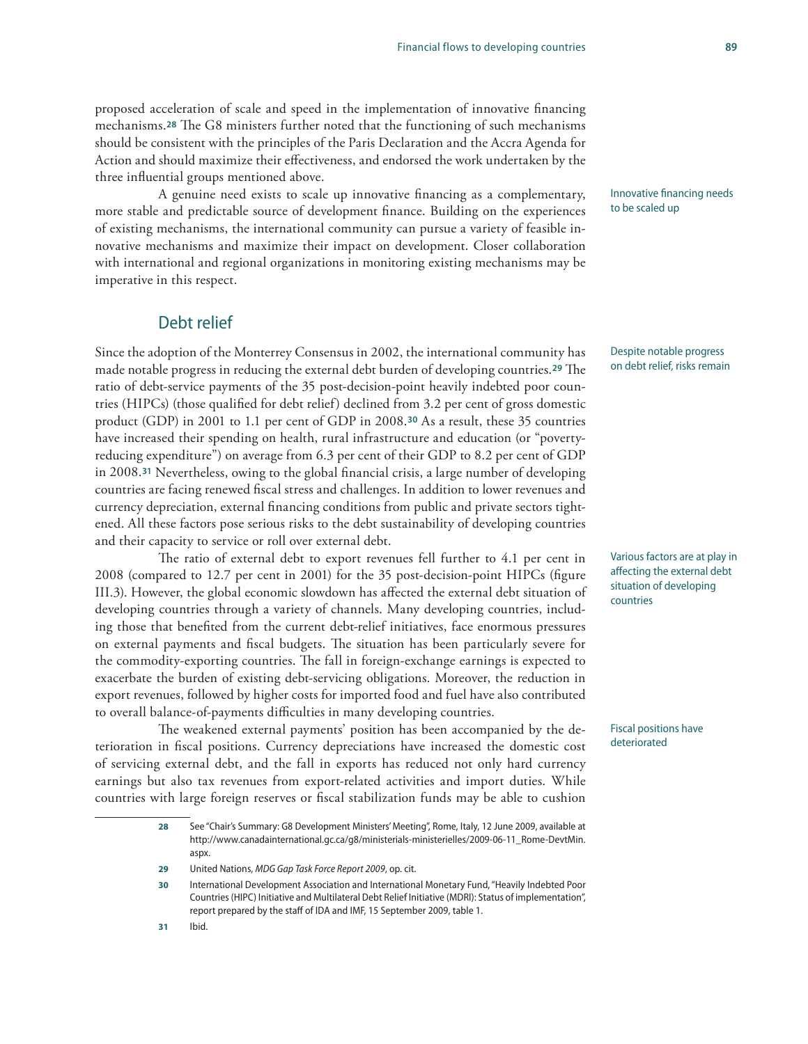### proposed acceleration of scale and speed in the implementation of innovative financing mechanisms.**28** The G8 ministers further noted that the functioning of such mechanisms should be consistent with the principles of the Paris Declaration and the Accra Agenda for Action and should maximize their effectiveness, and endorsed the work undertaken by the three influential groups mentioned above.

A genuine need exists to scale up innovative financing as a complementary, more stable and predictable source of development finance. Building on the experiences of existing mechanisms, the international community can pursue a variety of feasible innovative mechanisms and maximize their impact on development. Closer collaboration with international and regional organizations in monitoring existing mechanisms may be imperative in this respect.

### Debt relief

Since the adoption of the Monterrey Consensus in 2002, the international community has made notable progress in reducing the external debt burden of developing countries.**29** The ratio of debt-service payments of the 35 post-decision-point heavily indebted poor countries (HIPCs) (those qualified for debt relief) declined from 3.2 per cent of gross domestic product (GDP) in 2001 to 1.1 per cent of GDP in 2008.**30** As a result, these 35 countries have increased their spending on health, rural infrastructure and education (or "povertyreducing expenditure") on average from 6.3 per cent of their GDP to 8.2 per cent of GDP in 2008.**31** Nevertheless, owing to the global financial crisis, a large number of developing countries are facing renewed fiscal stress and challenges. In addition to lower revenues and currency depreciation, external financing conditions from public and private sectors tightened. All these factors pose serious risks to the debt sustainability of developing countries and their capacity to service or roll over external debt.

The ratio of external debt to export revenues fell further to 4.1 per cent in 2008 (compared to 12.7 per cent in 2001) for the 35 post-decision-point HIPCs (figure III.3). However, the global economic slowdown has affected the external debt situation of developing countries through a variety of channels. Many developing countries, including those that benefited from the current debt-relief initiatives, face enormous pressures on external payments and fiscal budgets. The situation has been particularly severe for the commodity-exporting countries. The fall in foreign-exchange earnings is expected to exacerbate the burden of existing debt-servicing obligations. Moreover, the reduction in export revenues, followed by higher costs for imported food and fuel have also contributed to overall balance-of-payments difficulties in many developing countries.

The weakened external payments' position has been accompanied by the deterioration in fiscal positions. Currency depreciations have increased the domestic cost of servicing external debt, and the fall in exports has reduced not only hard currency earnings but also tax revenues from export-related activities and import duties. While countries with large foreign reserves or fiscal stabilization funds may be able to cushion

Innovative financing needs to be scaled up

Despite notable progress on debt relief, risks remain

Various factors are at play in affecting the external debt situation of developing countries

Fiscal positions have deteriorated

**31** Ibid.

**<sup>28</sup>** See "Chair's Summary: G8 Development Ministers' Meeting", Rome, Italy, 12 June 2009, available at http://www.canadainternational.gc.ca/g8/ministerials-ministerielles/2009-06-11\_Rome-DevtMin. aspx.

**<sup>29</sup>** United Nations, *MDG Gap Task Force Report 2009*, op. cit.

**<sup>30</sup>** International Development Association and International Monetary Fund, "Heavily Indebted Poor Countries (HIPC) Initiative and Multilateral Debt Relief Initiative (MDRI): Status of implementation", report prepared by the staff of IDA and IMF, 15 September 2009, table 1.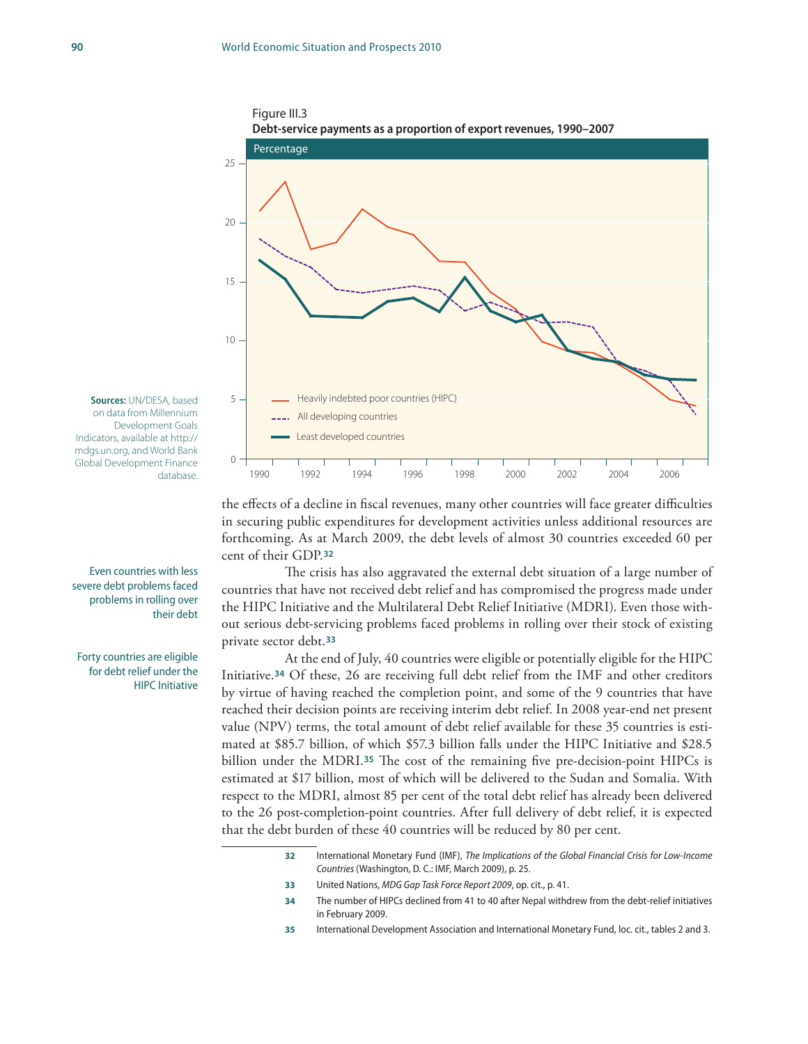



**Sources:** UN/DESA, based on data from Millennium Development Goals Indicators, available at http:// mdgs.un.org, and World Bank Global Development Finance database.

Even countries with less severe debt problems faced problems in rolling over their debt

Forty countries are eligible for debt relief under the HIPC Initiative

the effects of a decline in fiscal revenues, many other countries will face greater difficulties in securing public expenditures for development activities unless additional resources are forthcoming. As at March 2009, the debt levels of almost 30 countries exceeded 60 per cent of their GDP.**<sup>32</sup>**

The crisis has also aggravated the external debt situation of a large number of countries that have not received debt relief and has compromised the progress made under the HIPC Initiative and the Multilateral Debt Relief Initiative (MDRI). Even those without serious debt-servicing problems faced problems in rolling over their stock of existing private sector debt.**<sup>33</sup>**

At the end of July, 40 countries were eligible or potentially eligible for the HIPC Initiative.**34** Of these, 26 are receiving full debt relief from the IMF and other creditors by virtue of having reached the completion point, and some of the 9 countries that have reached their decision points are receiving interim debt relief. In 2008 year-end net present value (NPV) terms, the total amount of debt relief available for these 35 countries is estimated at \$85.7 billion, of which \$57.3 billion falls under the HIPC Initiative and \$28.5 billion under the MDRI.**35** The cost of the remaining five pre-decision-point HIPCs is estimated at \$17 billion, most of which will be delivered to the Sudan and Somalia. With respect to the MDRI, almost 85 per cent of the total debt relief has already been delivered to the 26 post-completion-point countries. After full delivery of debt relief, it is expected that the debt burden of these 40 countries will be reduced by 80 per cent.

> **32** International Monetary Fund (IMF), *The Implications of the Global Financial Crisis for Low-Income Countries* (Washington, D. C.: IMF, March 2009), p. 25.

- **33** United Nations, *MDG Gap Task Force Report 2009*, op. cit., p. 41.
- **34** The number of HIPCs declined from 41 to 40 after Nepal withdrew from the debt-relief initiatives in February 2009.
- **35** International Development Association and International Monetary Fund, loc. cit., tables 2 and 3.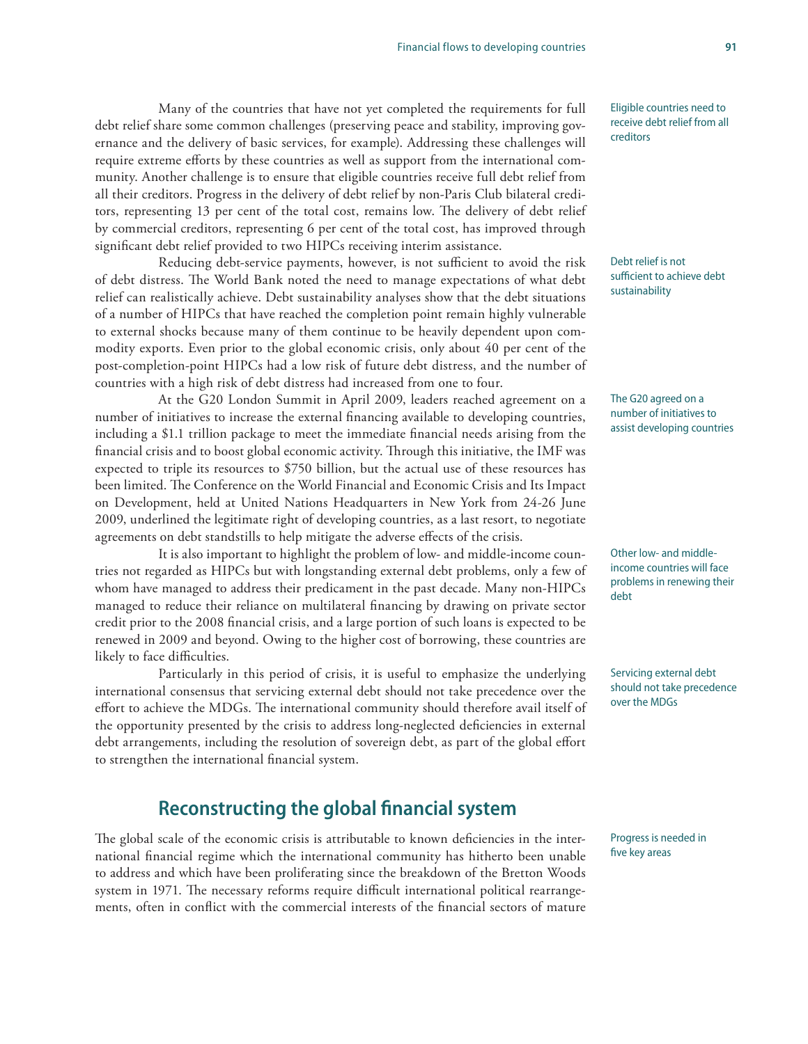Many of the countries that have not yet completed the requirements for full debt relief share some common challenges (preserving peace and stability, improving governance and the delivery of basic services, for example). Addressing these challenges will require extreme efforts by these countries as well as support from the international community. Another challenge is to ensure that eligible countries receive full debt relief from all their creditors. Progress in the delivery of debt relief by non-Paris Club bilateral creditors, representing 13 per cent of the total cost, remains low. The delivery of debt relief by commercial creditors, representing 6 per cent of the total cost, has improved through significant debt relief provided to two HIPCs receiving interim assistance.

Reducing debt-service payments, however, is not sufficient to avoid the risk of debt distress. The World Bank noted the need to manage expectations of what debt relief can realistically achieve. Debt sustainability analyses show that the debt situations of a number of HIPCs that have reached the completion point remain highly vulnerable to external shocks because many of them continue to be heavily dependent upon commodity exports. Even prior to the global economic crisis, only about 40 per cent of the post-completion-point HIPCs had a low risk of future debt distress, and the number of countries with a high risk of debt distress had increased from one to four.

At the G20 London Summit in April 2009, leaders reached agreement on a number of initiatives to increase the external financing available to developing countries, including a \$1.1 trillion package to meet the immediate financial needs arising from the financial crisis and to boost global economic activity. Through this initiative, the IMF was expected to triple its resources to \$750 billion, but the actual use of these resources has been limited. The Conference on the World Financial and Economic Crisis and Its Impact on Development, held at United Nations Headquarters in New York from 24-26 June 2009, underlined the legitimate right of developing countries, as a last resort, to negotiate agreements on debt standstills to help mitigate the adverse effects of the crisis.

It is also important to highlight the problem of low- and middle-income countries not regarded as HIPCs but with longstanding external debt problems, only a few of whom have managed to address their predicament in the past decade. Many non-HIPCs managed to reduce their reliance on multilateral financing by drawing on private sector credit prior to the 2008 financial crisis, and a large portion of such loans is expected to be renewed in 2009 and beyond. Owing to the higher cost of borrowing, these countries are likely to face difficulties.

Particularly in this period of crisis, it is useful to emphasize the underlying international consensus that servicing external debt should not take precedence over the effort to achieve the MDGs. The international community should therefore avail itself of the opportunity presented by the crisis to address long-neglected deficiencies in external debt arrangements, including the resolution of sovereign debt, as part of the global effort to strengthen the international financial system.

## **Reconstructing the global financial system**

The global scale of the economic crisis is attributable to known deficiencies in the international financial regime which the international community has hitherto been unable to address and which have been proliferating since the breakdown of the Bretton Woods system in 1971. The necessary reforms require difficult international political rearrangements, often in conflict with the commercial interests of the financial sectors of mature Eligible countries need to receive debt relief from all creditors

Debt relief is not sufficient to achieve debt sustainability

The G20 agreed on a number of initiatives to assist developing countries

Other low- and middleincome countries will face problems in renewing their debt

Servicing external debt should not take precedence over the MDGs

Progress is needed in five key areas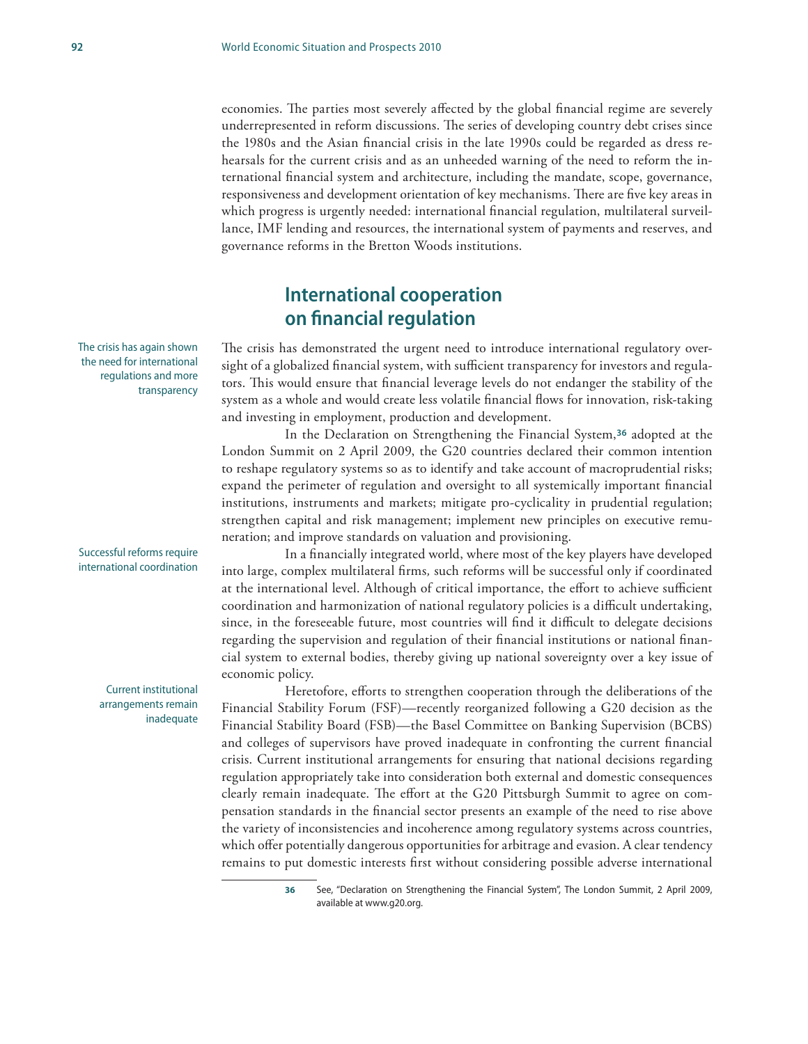economies. The parties most severely affected by the global financial regime are severely underrepresented in reform discussions. The series of developing country debt crises since the 1980s and the Asian financial crisis in the late 1990s could be regarded as dress rehearsals for the current crisis and as an unheeded warning of the need to reform the international financial system and architecture, including the mandate, scope, governance, responsiveness and development orientation of key mechanisms. There are five key areas in which progress is urgently needed: international financial regulation, multilateral surveillance, IMF lending and resources, the international system of payments and reserves, and governance reforms in the Bretton Woods institutions.

## **International cooperation on financial regulation**

The crisis has demonstrated the urgent need to introduce international regulatory oversight of a globalized financial system, with sufficient transparency for investors and regulators. This would ensure that financial leverage levels do not endanger the stability of the system as a whole and would create less volatile financial flows for innovation, risk-taking and investing in employment, production and development.

In the Declaration on Strengthening the Financial System,**36** adopted at the London Summit on 2 April 2009, the G20 countries declared their common intention to reshape regulatory systems so as to identify and take account of macroprudential risks; expand the perimeter of regulation and oversight to all systemically important financial institutions, instruments and markets; mitigate pro-cyclicality in prudential regulation; strengthen capital and risk management; implement new principles on executive remuneration; and improve standards on valuation and provisioning.

In a financially integrated world, where most of the key players have developed into large, complex multilateral firms*,* such reforms will be successful only if coordinated at the international level. Although of critical importance, the effort to achieve sufficient coordination and harmonization of national regulatory policies is a difficult undertaking, since, in the foreseeable future, most countries will find it difficult to delegate decisions regarding the supervision and regulation of their financial institutions or national financial system to external bodies, thereby giving up national sovereignty over a key issue of economic policy.

Heretofore, efforts to strengthen cooperation through the deliberations of the Financial Stability Forum (FSF)—recently reorganized following a G20 decision as the Financial Stability Board (FSB)—the Basel Committee on Banking Supervision (BCBS) and colleges of supervisors have proved inadequate in confronting the current financial crisis. Current institutional arrangements for ensuring that national decisions regarding regulation appropriately take into consideration both external and domestic consequences clearly remain inadequate. The effort at the G20 Pittsburgh Summit to agree on compensation standards in the financial sector presents an example of the need to rise above the variety of inconsistencies and incoherence among regulatory systems across countries, which offer potentially dangerous opportunities for arbitrage and evasion. A clear tendency remains to put domestic interests first without considering possible adverse international

The crisis has again shown the need for international regulations and more transparency

Successful reforms require international coordination

> Current institutional arrangements remain inadequate

**<sup>36</sup>** See, "Declaration on Strengthening the Financial System", The London Summit, 2 April 2009, available at www.g20.org.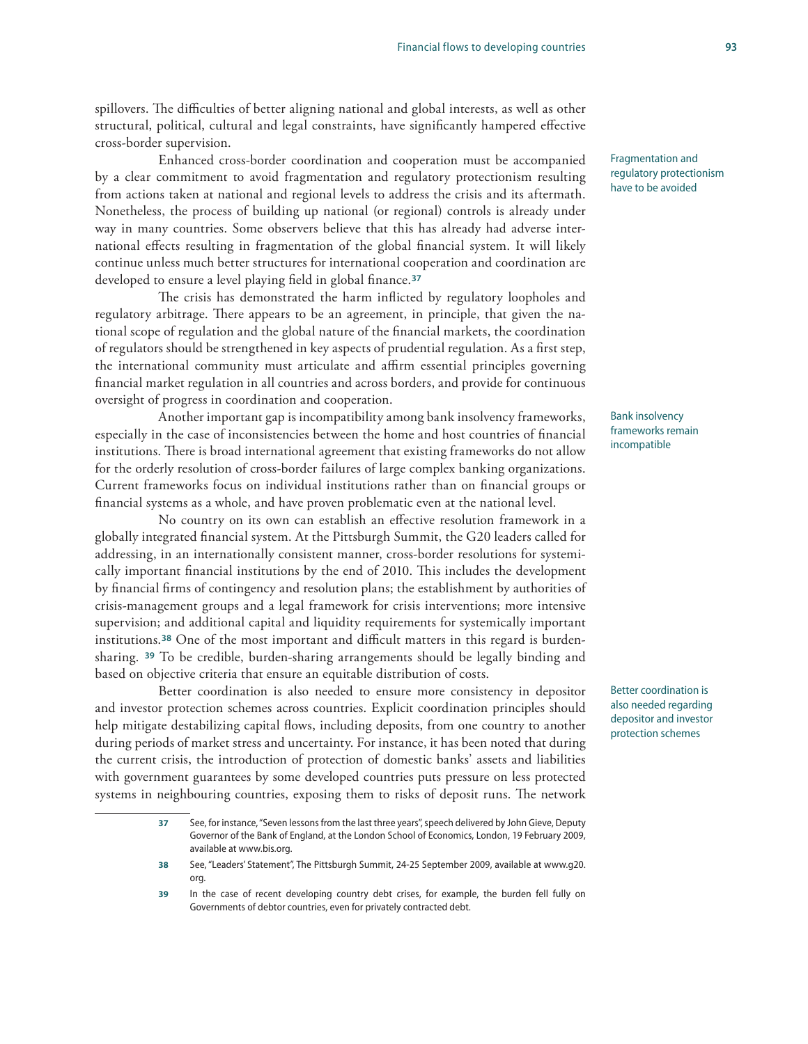spillovers. The difficulties of better aligning national and global interests, as well as other structural, political, cultural and legal constraints, have significantly hampered effective cross-border supervision.

Enhanced cross-border coordination and cooperation must be accompanied by a clear commitment to avoid fragmentation and regulatory protectionism resulting from actions taken at national and regional levels to address the crisis and its aftermath. Nonetheless, the process of building up national (or regional) controls is already under way in many countries. Some observers believe that this has already had adverse international effects resulting in fragmentation of the global financial system. It will likely continue unless much better structures for international cooperation and coordination are developed to ensure a level playing field in global finance.**<sup>37</sup>**

The crisis has demonstrated the harm inflicted by regulatory loopholes and regulatory arbitrage. There appears to be an agreement, in principle, that given the national scope of regulation and the global nature of the financial markets, the coordination of regulators should be strengthened in key aspects of prudential regulation. As a first step, the international community must articulate and affirm essential principles governing financial market regulation in all countries and across borders, and provide for continuous oversight of progress in coordination and cooperation.

Another important gap is incompatibility among bank insolvency frameworks, especially in the case of inconsistencies between the home and host countries of financial institutions. There is broad international agreement that existing frameworks do not allow for the orderly resolution of cross-border failures of large complex banking organizations. Current frameworks focus on individual institutions rather than on financial groups or financial systems as a whole, and have proven problematic even at the national level.

No country on its own can establish an effective resolution framework in a globally integrated financial system. At the Pittsburgh Summit, the G20 leaders called for addressing, in an internationally consistent manner, cross-border resolutions for systemically important financial institutions by the end of 2010. This includes the development by financial firms of contingency and resolution plans; the establishment by authorities of crisis-management groups and a legal framework for crisis interventions; more intensive supervision; and additional capital and liquidity requirements for systemically important institutions.**38** One of the most important and difficult matters in this regard is burdensharing. **<sup>39</sup>** To be credible, burden-sharing arrangements should be legally binding and based on objective criteria that ensure an equitable distribution of costs.

Better coordination is also needed to ensure more consistency in depositor and investor protection schemes across countries. Explicit coordination principles should help mitigate destabilizing capital flows, including deposits, from one country to another during periods of market stress and uncertainty. For instance, it has been noted that during the current crisis, the introduction of protection of domestic banks' assets and liabilities with government guarantees by some developed countries puts pressure on less protected systems in neighbouring countries, exposing them to risks of deposit runs. The network

Fragmentation and regulatory protectionism have to be avoided

Bank insolvency frameworks remain incompatible

Better coordination is also needed regarding depositor and investor protection schemes

**<sup>37</sup>** See, for instance, "Seven lessons from the last three years", speech delivered by John Gieve, Deputy Governor of the Bank of England, at the London School of Economics, London, 19 February 2009, available at www.bis.org.

**<sup>38</sup>** See, "Leaders' Statement", The Pittsburgh Summit, 24-25 September 2009, available at www.g20. org.

**<sup>39</sup>** In the case of recent developing country debt crises, for example, the burden fell fully on Governments of debtor countries, even for privately contracted debt.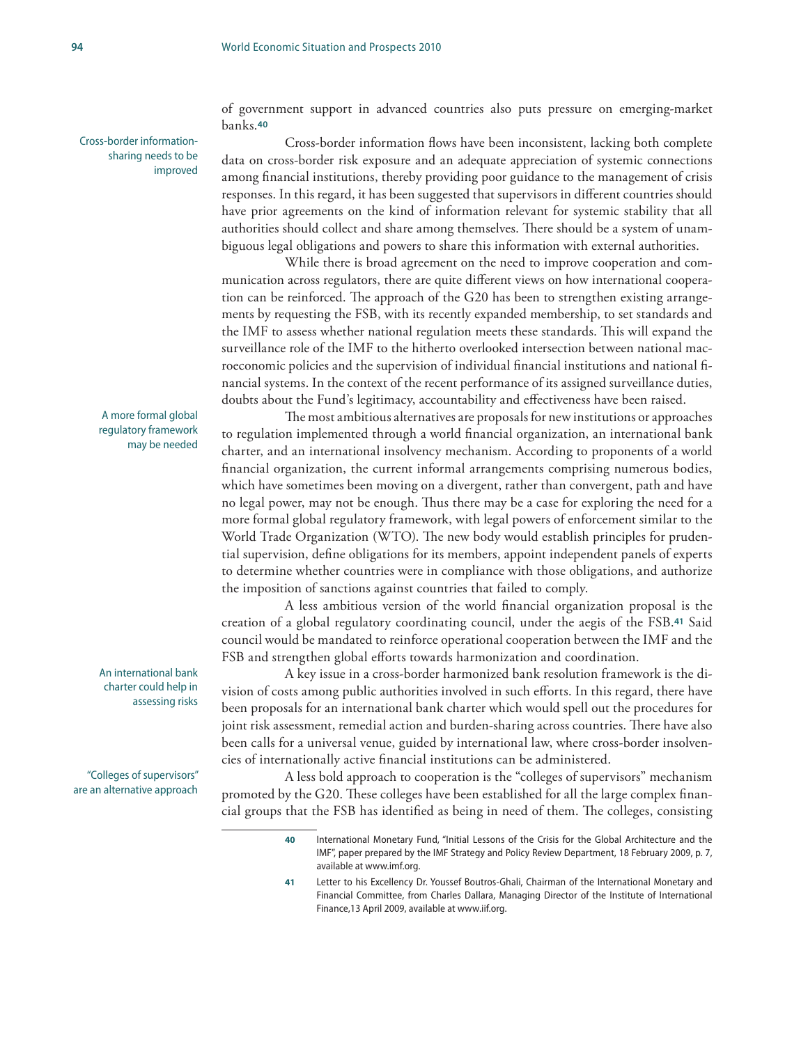Cross-border informationsharing needs to be improved

> A more formal global regulatory framework may be needed

An international bank charter could help in assessing risks

"Colleges of supervisors" are an alternative approach of government support in advanced countries also puts pressure on emerging-market banks.**<sup>40</sup>**

Cross-border information flows have been inconsistent, lacking both complete data on cross-border risk exposure and an adequate appreciation of systemic connections among financial institutions, thereby providing poor guidance to the management of crisis responses. In this regard, it has been suggested that supervisors in different countries should have prior agreements on the kind of information relevant for systemic stability that all authorities should collect and share among themselves. There should be a system of unambiguous legal obligations and powers to share this information with external authorities.

While there is broad agreement on the need to improve cooperation and communication across regulators, there are quite different views on how international cooperation can be reinforced. The approach of the G20 has been to strengthen existing arrangements by requesting the FSB, with its recently expanded membership, to set standards and the IMF to assess whether national regulation meets these standards. This will expand the surveillance role of the IMF to the hitherto overlooked intersection between national macroeconomic policies and the supervision of individual financial institutions and national financial systems. In the context of the recent performance of its assigned surveillance duties, doubts about the Fund's legitimacy, accountability and effectiveness have been raised.

The most ambitious alternatives are proposals for new institutions or approaches to regulation implemented through a world financial organization, an international bank charter, and an international insolvency mechanism. According to proponents of a world financial organization, the current informal arrangements comprising numerous bodies, which have sometimes been moving on a divergent, rather than convergent, path and have no legal power, may not be enough. Thus there may be a case for exploring the need for a more formal global regulatory framework, with legal powers of enforcement similar to the World Trade Organization (WTO). The new body would establish principles for prudential supervision, define obligations for its members, appoint independent panels of experts to determine whether countries were in compliance with those obligations, and authorize the imposition of sanctions against countries that failed to comply.

A less ambitious version of the world financial organization proposal is the creation of a global regulatory coordinating council, under the aegis of the FSB.**41** Said council would be mandated to reinforce operational cooperation between the IMF and the FSB and strengthen global efforts towards harmonization and coordination.

A key issue in a cross-border harmonized bank resolution framework is the division of costs among public authorities involved in such efforts. In this regard, there have been proposals for an international bank charter which would spell out the procedures for joint risk assessment, remedial action and burden-sharing across countries. There have also been calls for a universal venue, guided by international law, where cross-border insolvencies of internationally active financial institutions can be administered.

A less bold approach to cooperation is the "colleges of supervisors" mechanism promoted by the G20. These colleges have been established for all the large complex financial groups that the FSB has identified as being in need of them. The colleges, consisting

**41** Letter to his Excellency Dr. Youssef Boutros-Ghali, Chairman of the International Monetary and Financial Committee, from Charles Dallara, Managing Director of the Institute of International Finance,13 April 2009, available at www.iif.org.

**<sup>40</sup>** International Monetary Fund, "Initial Lessons of the Crisis for the Global Architecture and the IMF", paper prepared by the IMF Strategy and Policy Review Department, 18 February 2009, p. 7, available at www.imf.org.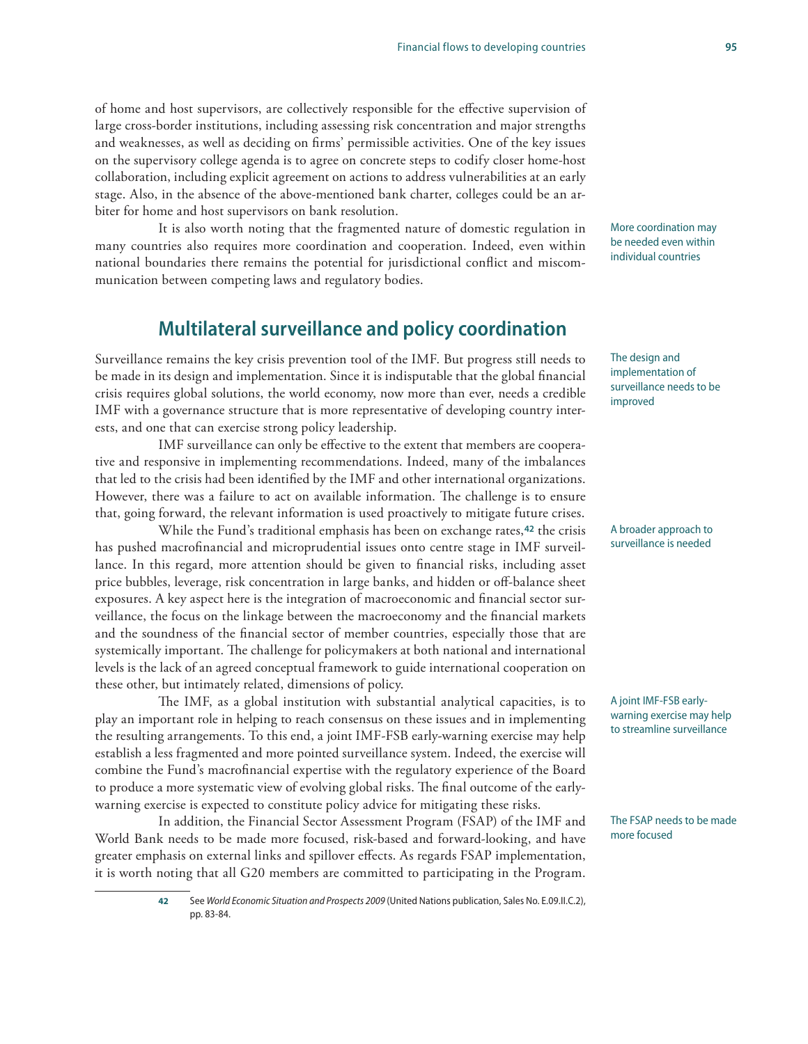### of home and host supervisors, are collectively responsible for the effective supervision of large cross-border institutions, including assessing risk concentration and major strengths and weaknesses, as well as deciding on firms' permissible activities. One of the key issues on the supervisory college agenda is to agree on concrete steps to codify closer home-host collaboration, including explicit agreement on actions to address vulnerabilities at an early stage. Also, in the absence of the above-mentioned bank charter, colleges could be an arbiter for home and host supervisors on bank resolution.

It is also worth noting that the fragmented nature of domestic regulation in many countries also requires more coordination and cooperation. Indeed, even within national boundaries there remains the potential for jurisdictional conflict and miscommunication between competing laws and regulatory bodies.

## **Multilateral surveillance and policy coordination**

Surveillance remains the key crisis prevention tool of the IMF. But progress still needs to be made in its design and implementation. Since it is indisputable that the global financial crisis requires global solutions, the world economy, now more than ever, needs a credible IMF with a governance structure that is more representative of developing country interests, and one that can exercise strong policy leadership.

IMF surveillance can only be effective to the extent that members are cooperative and responsive in implementing recommendations. Indeed, many of the imbalances that led to the crisis had been identified by the IMF and other international organizations. However, there was a failure to act on available information. The challenge is to ensure that, going forward, the relevant information is used proactively to mitigate future crises.

While the Fund's traditional emphasis has been on exchange rates,**42** the crisis has pushed macrofinancial and microprudential issues onto centre stage in IMF surveillance. In this regard, more attention should be given to financial risks, including asset price bubbles, leverage, risk concentration in large banks, and hidden or off-balance sheet exposures. A key aspect here is the integration of macroeconomic and financial sector surveillance, the focus on the linkage between the macroeconomy and the financial markets and the soundness of the financial sector of member countries, especially those that are systemically important. The challenge for policymakers at both national and international levels is the lack of an agreed conceptual framework to guide international cooperation on these other, but intimately related, dimensions of policy.

The IMF, as a global institution with substantial analytical capacities, is to play an important role in helping to reach consensus on these issues and in implementing the resulting arrangements. To this end, a joint IMF-FSB early-warning exercise may help establish a less fragmented and more pointed surveillance system. Indeed, the exercise will combine the Fund's macrofinancial expertise with the regulatory experience of the Board to produce a more systematic view of evolving global risks. The final outcome of the earlywarning exercise is expected to constitute policy advice for mitigating these risks.

In addition, the Financial Sector Assessment Program (FSAP) of the IMF and World Bank needs to be made more focused, risk-based and forward-looking, and have greater emphasis on external links and spillover effects. As regards FSAP implementation, it is worth noting that all G20 members are committed to participating in the Program.

More coordination may be needed even within individual countries

The design and implementation of surveillance needs to be improved

A broader approach to surveillance is needed

A joint IMF-FSB earlywarning exercise may help to streamline surveillance

The FSAP needs to be made more focused

**42** See *World Economic Situation and Prospects 2009* (United Nations publication, Sales No. E.09.II.C.2), pp. 83-84.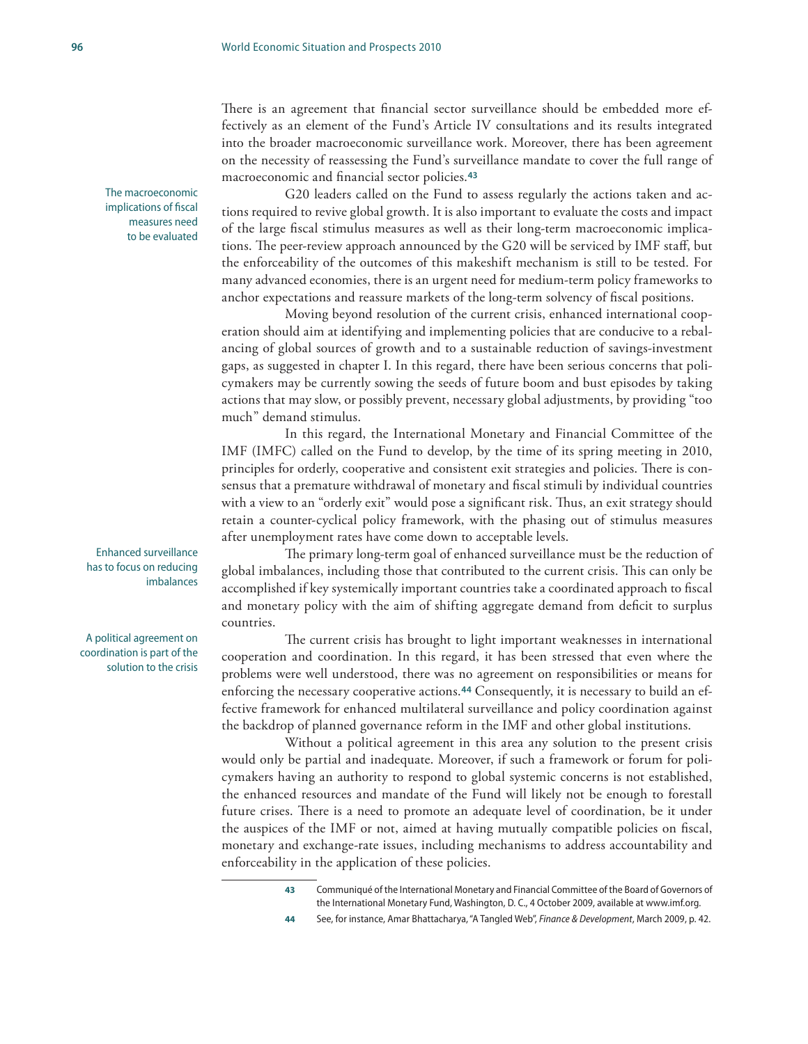There is an agreement that financial sector surveillance should be embedded more effectively as an element of the Fund's Article IV consultations and its results integrated into the broader macroeconomic surveillance work. Moreover, there has been agreement on the necessity of reassessing the Fund's surveillance mandate to cover the full range of macroeconomic and financial sector policies.**<sup>43</sup>**

G20 leaders called on the Fund to assess regularly the actions taken and actions required to revive global growth. It is also important to evaluate the costs and impact of the large fiscal stimulus measures as well as their long-term macroeconomic implications. The peer-review approach announced by the G20 will be serviced by IMF staff, but the enforceability of the outcomes of this makeshift mechanism is still to be tested. For many advanced economies, there is an urgent need for medium-term policy frameworks to anchor expectations and reassure markets of the long-term solvency of fiscal positions.

Moving beyond resolution of the current crisis, enhanced international cooperation should aim at identifying and implementing policies that are conducive to a rebalancing of global sources of growth and to a sustainable reduction of savings-investment gaps, as suggested in chapter I. In this regard, there have been serious concerns that policymakers may be currently sowing the seeds of future boom and bust episodes by taking actions that may slow, or possibly prevent, necessary global adjustments, by providing "too much" demand stimulus.

In this regard, the International Monetary and Financial Committee of the IMF (IMFC) called on the Fund to develop, by the time of its spring meeting in 2010, principles for orderly, cooperative and consistent exit strategies and policies. There is consensus that a premature withdrawal of monetary and fiscal stimuli by individual countries with a view to an "orderly exit" would pose a significant risk. Thus, an exit strategy should retain a counter-cyclical policy framework, with the phasing out of stimulus measures after unemployment rates have come down to acceptable levels.

The primary long-term goal of enhanced surveillance must be the reduction of global imbalances, including those that contributed to the current crisis. This can only be accomplished if key systemically important countries take a coordinated approach to fiscal and monetary policy with the aim of shifting aggregate demand from deficit to surplus countries.

The current crisis has brought to light important weaknesses in international cooperation and coordination. In this regard, it has been stressed that even where the problems were well understood, there was no agreement on responsibilities or means for enforcing the necessary cooperative actions.**44** Consequently, it is necessary to build an effective framework for enhanced multilateral surveillance and policy coordination against the backdrop of planned governance reform in the IMF and other global institutions.

Without a political agreement in this area any solution to the present crisis would only be partial and inadequate. Moreover, if such a framework or forum for policymakers having an authority to respond to global systemic concerns is not established, the enhanced resources and mandate of the Fund will likely not be enough to forestall future crises. There is a need to promote an adequate level of coordination, be it under the auspices of the IMF or not, aimed at having mutually compatible policies on fiscal, monetary and exchange-rate issues, including mechanisms to address accountability and enforceability in the application of these policies.

- **43** Communiqué of the International Monetary and Financial Committee of the Board of Governors of the International Monetary Fund, Washington, D. C., 4 October 2009, available at www.imf.org.
- **44** See, for instance, Amar Bhattacharya, "A Tangled Web", *Finance & Development*, March 2009, p. 42.

The macroeconomic implications of fiscal measures need to be evaluated

Enhanced surveillance has to focus on reducing imbalances

A political agreement on coordination is part of the solution to the crisis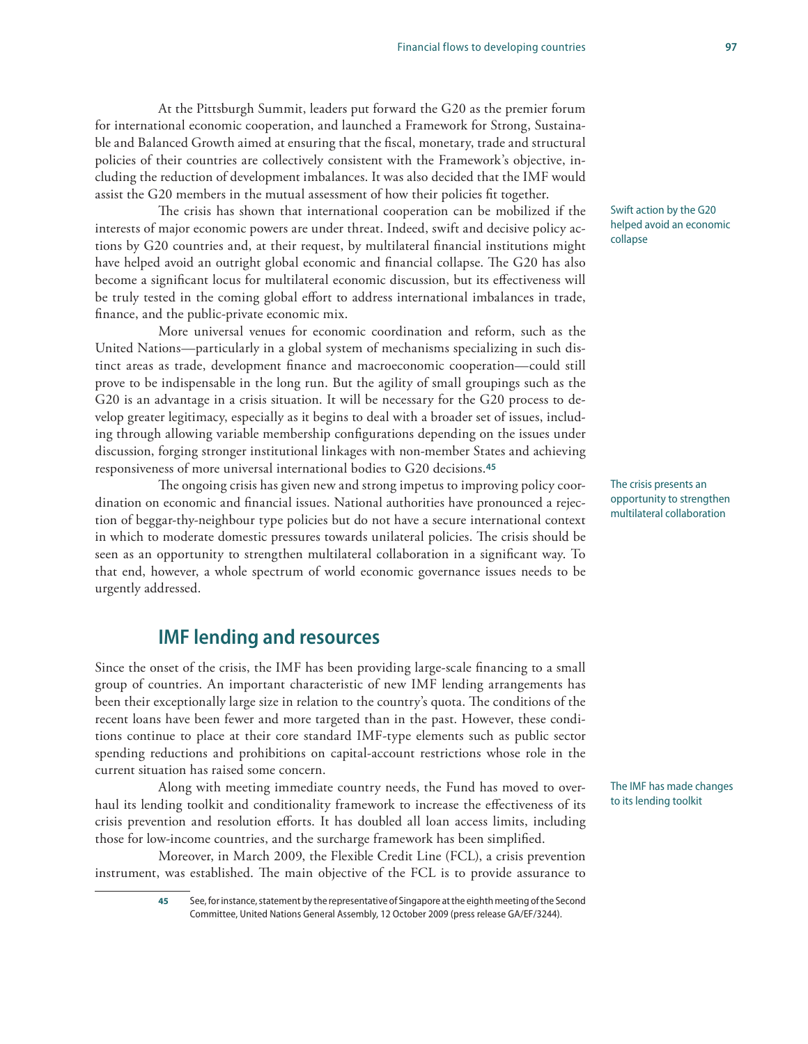At the Pittsburgh Summit, leaders put forward the G20 as the premier forum for international economic cooperation, and launched a Framework for Strong, Sustainable and Balanced Growth aimed at ensuring that the fiscal, monetary, trade and structural policies of their countries are collectively consistent with the Framework's objective, including the reduction of development imbalances. It was also decided that the IMF would assist the G20 members in the mutual assessment of how their policies fit together.

The crisis has shown that international cooperation can be mobilized if the interests of major economic powers are under threat. Indeed, swift and decisive policy actions by G20 countries and, at their request, by multilateral financial institutions might have helped avoid an outright global economic and financial collapse. The G20 has also become a significant locus for multilateral economic discussion, but its effectiveness will be truly tested in the coming global effort to address international imbalances in trade, finance, and the public-private economic mix.

More universal venues for economic coordination and reform, such as the United Nations—particularly in a global system of mechanisms specializing in such distinct areas as trade, development finance and macroeconomic cooperation—could still prove to be indispensable in the long run. But the agility of small groupings such as the G20 is an advantage in a crisis situation. It will be necessary for the G20 process to develop greater legitimacy, especially as it begins to deal with a broader set of issues, including through allowing variable membership configurations depending on the issues under discussion, forging stronger institutional linkages with non-member States and achieving responsiveness of more universal international bodies to G20 decisions.**<sup>45</sup>**

The ongoing crisis has given new and strong impetus to improving policy coordination on economic and financial issues. National authorities have pronounced a rejection of beggar-thy-neighbour type policies but do not have a secure international context in which to moderate domestic pressures towards unilateral policies. The crisis should be seen as an opportunity to strengthen multilateral collaboration in a significant way. To that end, however, a whole spectrum of world economic governance issues needs to be urgently addressed.

### **IMF lending and resources**

Since the onset of the crisis, the IMF has been providing large-scale financing to a small group of countries. An important characteristic of new IMF lending arrangements has been their exceptionally large size in relation to the country's quota. The conditions of the recent loans have been fewer and more targeted than in the past. However, these conditions continue to place at their core standard IMF-type elements such as public sector spending reductions and prohibitions on capital-account restrictions whose role in the current situation has raised some concern.

Along with meeting immediate country needs, the Fund has moved to overhaul its lending toolkit and conditionality framework to increase the effectiveness of its crisis prevention and resolution efforts. It has doubled all loan access limits, including those for low-income countries, and the surcharge framework has been simplified.

Moreover, in March 2009, the Flexible Credit Line (FCL), a crisis prevention instrument, was established. The main objective of the FCL is to provide assurance to

> **45** See, for instance, statement by the representative of Singapore at the eighth meeting of the Second Committee, United Nations General Assembly, 12 October 2009 (press release GA/EF/3244).

Swift action by the G20 helped avoid an economic collapse

The crisis presents an opportunity to strengthen multilateral collaboration

The IMF has made changes to its lending toolkit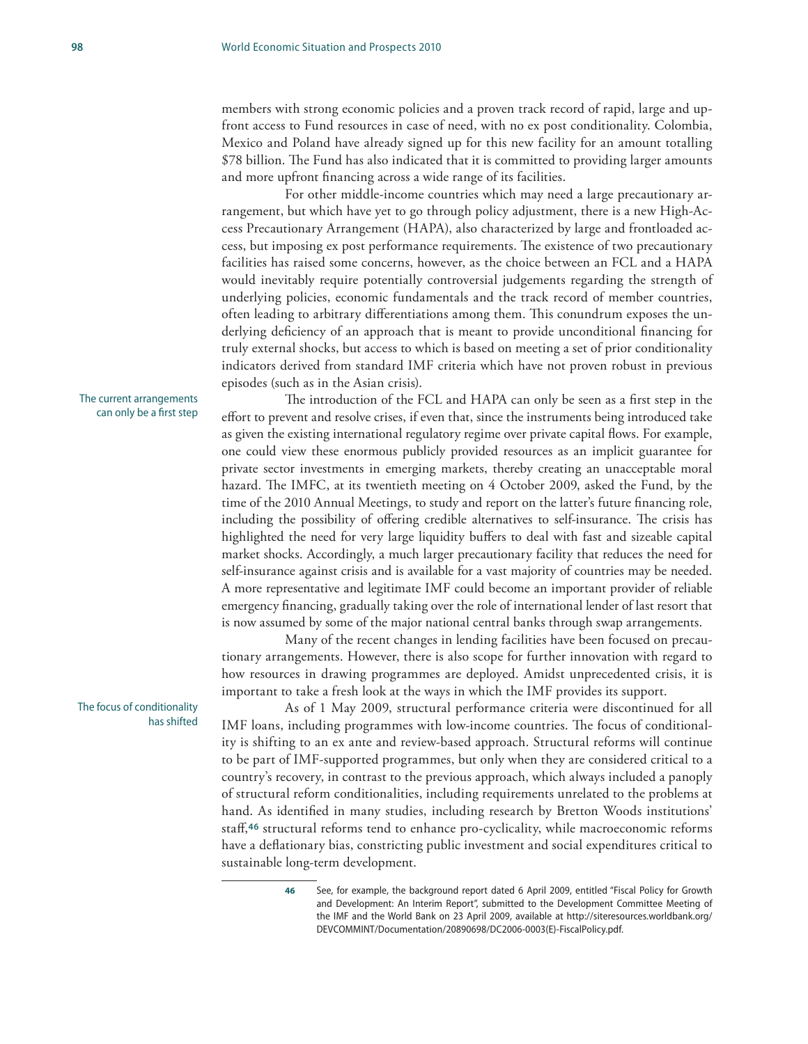members with strong economic policies and a proven track record of rapid, large and upfront access to Fund resources in case of need, with no ex post conditionality. Colombia, Mexico and Poland have already signed up for this new facility for an amount totalling \$78 billion. The Fund has also indicated that it is committed to providing larger amounts and more upfront financing across a wide range of its facilities.

For other middle-income countries which may need a large precautionary arrangement, but which have yet to go through policy adjustment, there is a new High-Access Precautionary Arrangement (HAPA), also characterized by large and frontloaded access, but imposing ex post performance requirements. The existence of two precautionary facilities has raised some concerns, however, as the choice between an FCL and a HAPA would inevitably require potentially controversial judgements regarding the strength of underlying policies, economic fundamentals and the track record of member countries, often leading to arbitrary differentiations among them. This conundrum exposes the underlying deficiency of an approach that is meant to provide unconditional financing for truly external shocks, but access to which is based on meeting a set of prior conditionality indicators derived from standard IMF criteria which have not proven robust in previous episodes (such as in the Asian crisis).

The introduction of the FCL and HAPA can only be seen as a first step in the effort to prevent and resolve crises, if even that, since the instruments being introduced take as given the existing international regulatory regime over private capital flows. For example, one could view these enormous publicly provided resources as an implicit guarantee for private sector investments in emerging markets, thereby creating an unacceptable moral hazard. The IMFC, at its twentieth meeting on 4 October 2009, asked the Fund, by the time of the 2010 Annual Meetings, to study and report on the latter's future financing role, including the possibility of offering credible alternatives to self-insurance. The crisis has highlighted the need for very large liquidity buffers to deal with fast and sizeable capital market shocks. Accordingly, a much larger precautionary facility that reduces the need for self-insurance against crisis and is available for a vast majority of countries may be needed. A more representative and legitimate IMF could become an important provider of reliable emergency financing, gradually taking over the role of international lender of last resort that is now assumed by some of the major national central banks through swap arrangements.

Many of the recent changes in lending facilities have been focused on precautionary arrangements. However, there is also scope for further innovation with regard to how resources in drawing programmes are deployed. Amidst unprecedented crisis, it is important to take a fresh look at the ways in which the IMF provides its support.

As of 1 May 2009, structural performance criteria were discontinued for all IMF loans, including programmes with low-income countries. The focus of conditionality is shifting to an ex ante and review-based approach. Structural reforms will continue to be part of IMF-supported programmes, but only when they are considered critical to a country's recovery, in contrast to the previous approach, which always included a panoply of structural reform conditionalities, including requirements unrelated to the problems at hand. As identified in many studies, including research by Bretton Woods institutions' staff,**46** structural reforms tend to enhance pro-cyclicality, while macroeconomic reforms have a deflationary bias, constricting public investment and social expenditures critical to sustainable long-term development.

See, for example, the background report dated 6 April 2009, entitled "Fiscal Policy for Growth and Development: An Interim Report", submitted to the Development Committee Meeting of the IMF and the World Bank on 23 April 2009, available at http://siteresources.worldbank.org/ DEVCOMMINT/Documentation/20890698/DC2006-0003(E)-FiscalPolicy.pdf.

The current arrangements can only be a first step

The focus of conditionality has shifted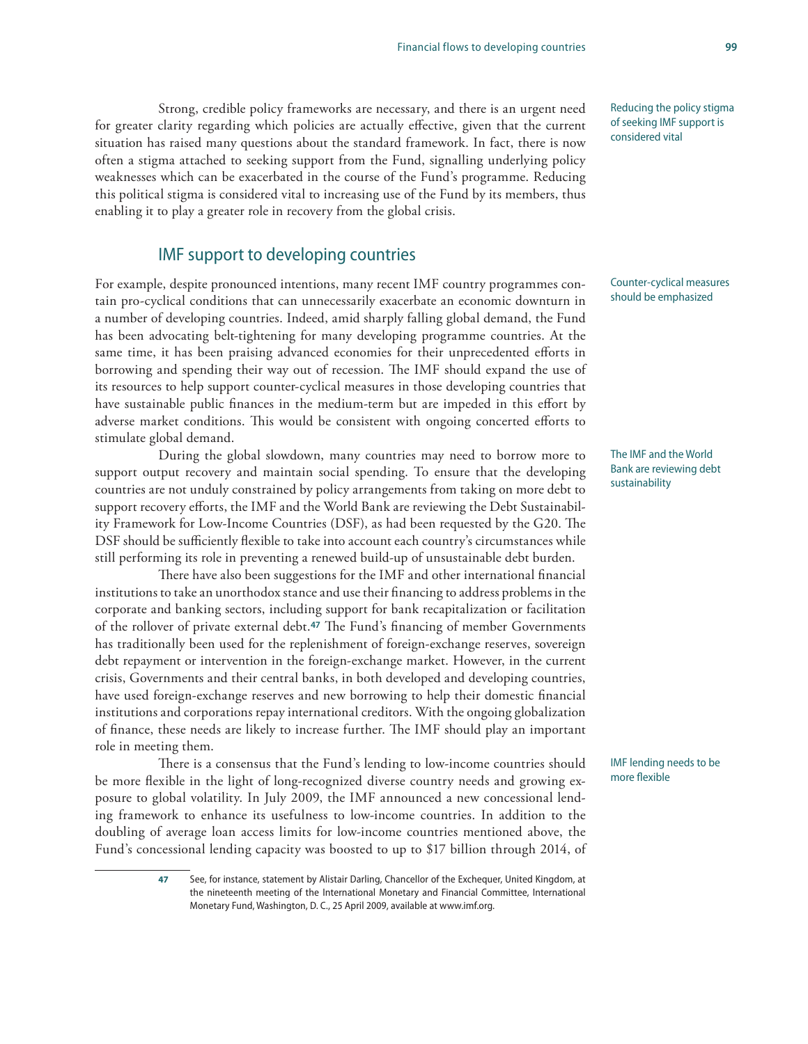Strong, credible policy frameworks are necessary, and there is an urgent need for greater clarity regarding which policies are actually effective, given that the current situation has raised many questions about the standard framework. In fact, there is now often a stigma attached to seeking support from the Fund, signalling underlying policy weaknesses which can be exacerbated in the course of the Fund's programme. Reducing this political stigma is considered vital to increasing use of the Fund by its members, thus enabling it to play a greater role in recovery from the global crisis.

### IMF support to developing countries

For example, despite pronounced intentions, many recent IMF country programmes contain pro-cyclical conditions that can unnecessarily exacerbate an economic downturn in a number of developing countries. Indeed, amid sharply falling global demand, the Fund has been advocating belt-tightening for many developing programme countries. At the same time, it has been praising advanced economies for their unprecedented efforts in borrowing and spending their way out of recession. The IMF should expand the use of its resources to help support counter-cyclical measures in those developing countries that have sustainable public finances in the medium-term but are impeded in this effort by adverse market conditions. This would be consistent with ongoing concerted efforts to stimulate global demand.

During the global slowdown, many countries may need to borrow more to support output recovery and maintain social spending. To ensure that the developing countries are not unduly constrained by policy arrangements from taking on more debt to support recovery efforts, the IMF and the World Bank are reviewing the Debt Sustainability Framework for Low-Income Countries (DSF), as had been requested by the G20. The DSF should be sufficiently flexible to take into account each country's circumstances while still performing its role in preventing a renewed build-up of unsustainable debt burden.

There have also been suggestions for the IMF and other international financial institutions to take an unorthodox stance and use their financing to address problems in the corporate and banking sectors, including support for bank recapitalization or facilitation of the rollover of private external debt.**47** The Fund's financing of member Governments has traditionally been used for the replenishment of foreign-exchange reserves, sovereign debt repayment or intervention in the foreign-exchange market. However, in the current crisis, Governments and their central banks, in both developed and developing countries, have used foreign-exchange reserves and new borrowing to help their domestic financial institutions and corporations repay international creditors. With the ongoing globalization of finance, these needs are likely to increase further. The IMF should play an important role in meeting them.

There is a consensus that the Fund's lending to low-income countries should be more flexible in the light of long-recognized diverse country needs and growing exposure to global volatility. In July 2009, the IMF announced a new concessional lending framework to enhance its usefulness to low-income countries. In addition to the doubling of average loan access limits for low-income countries mentioned above, the Fund's concessional lending capacity was boosted to up to \$17 billion through 2014, of

> **47** See, for instance, statement by Alistair Darling, Chancellor of the Exchequer, United Kingdom, at the nineteenth meeting of the International Monetary and Financial Committee, International Monetary Fund, Washington, D. C., 25 April 2009, available at www.imf.org.

Reducing the policy stigma of seeking IMF support is considered vital

Counter-cyclical measures should be emphasized

The IMF and the World Bank are reviewing debt sustainability

IMF lending needs to be more flexible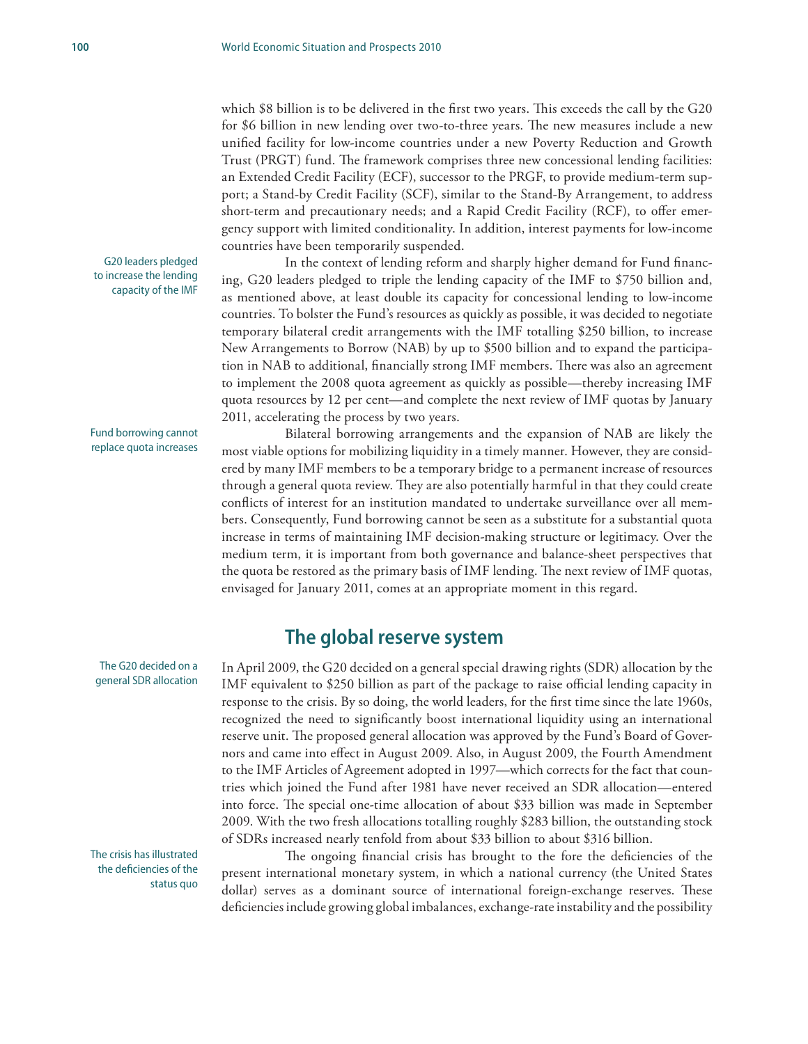which \$8 billion is to be delivered in the first two years. This exceeds the call by the G20 for \$6 billion in new lending over two-to-three years. The new measures include a new unified facility for low-income countries under a new Poverty Reduction and Growth Trust (PRGT) fund. The framework comprises three new concessional lending facilities: an Extended Credit Facility (ECF), successor to the PRGF, to provide medium-term support; a Stand-by Credit Facility (SCF), similar to the Stand-By Arrangement, to address short-term and precautionary needs; and a Rapid Credit Facility (RCF), to offer emergency support with limited conditionality. In addition, interest payments for low-income countries have been temporarily suspended.

In the context of lending reform and sharply higher demand for Fund financing, G20 leaders pledged to triple the lending capacity of the IMF to \$750 billion and, as mentioned above, at least double its capacity for concessional lending to low-income countries. To bolster the Fund's resources as quickly as possible, it was decided to negotiate temporary bilateral credit arrangements with the IMF totalling \$250 billion, to increase New Arrangements to Borrow (NAB) by up to \$500 billion and to expand the participation in NAB to additional, financially strong IMF members. There was also an agreement to implement the 2008 quota agreement as quickly as possible—thereby increasing IMF quota resources by 12 per cent—and complete the next review of IMF quotas by January 2011, accelerating the process by two years.

Bilateral borrowing arrangements and the expansion of NAB are likely the most viable options for mobilizing liquidity in a timely manner. However, they are considered by many IMF members to be a temporary bridge to a permanent increase of resources through a general quota review. They are also potentially harmful in that they could create conflicts of interest for an institution mandated to undertake surveillance over all members. Consequently, Fund borrowing cannot be seen as a substitute for a substantial quota increase in terms of maintaining IMF decision-making structure or legitimacy. Over the medium term, it is important from both governance and balance-sheet perspectives that the quota be restored as the primary basis of IMF lending. The next review of IMF quotas, envisaged for January 2011, comes at an appropriate moment in this regard.

### **The global reserve system**

In April 2009, the G20 decided on a general special drawing rights (SDR) allocation by the IMF equivalent to \$250 billion as part of the package to raise official lending capacity in response to the crisis. By so doing, the world leaders, for the first time since the late 1960s, recognized the need to significantly boost international liquidity using an international reserve unit. The proposed general allocation was approved by the Fund's Board of Governors and came into effect in August 2009. Also, in August 2009, the Fourth Amendment to the IMF Articles of Agreement adopted in 1997—which corrects for the fact that countries which joined the Fund after 1981 have never received an SDR allocation—entered into force. The special one-time allocation of about \$33 billion was made in September 2009. With the two fresh allocations totalling roughly \$283 billion, the outstanding stock of SDRs increased nearly tenfold from about \$33 billion to about \$316 billion.

The ongoing financial crisis has brought to the fore the deficiencies of the present international monetary system, in which a national currency (the United States dollar) serves as a dominant source of international foreign-exchange reserves. These deficiencies include growing global imbalances, exchange-rate instability and the possibility

G20 leaders pledged to increase the lending capacity of the IMF

Fund borrowing cannot replace quota increases

The G20 decided on a general SDR allocation

The crisis has illustrated the deficiencies of the status quo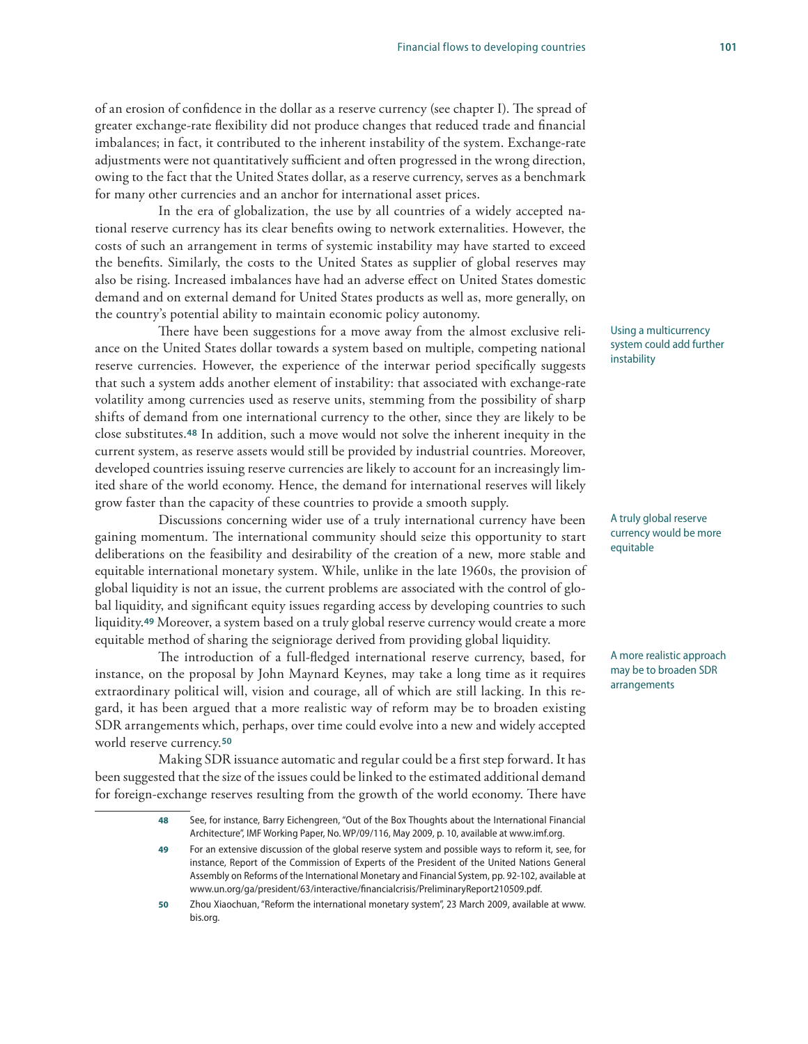of an erosion of confidence in the dollar as a reserve currency (see chapter I). The spread of greater exchange-rate flexibility did not produce changes that reduced trade and financial imbalances; in fact, it contributed to the inherent instability of the system. Exchange-rate adjustments were not quantitatively sufficient and often progressed in the wrong direction, owing to the fact that the United States dollar, as a reserve currency, serves as a benchmark for many other currencies and an anchor for international asset prices.

In the era of globalization, the use by all countries of a widely accepted national reserve currency has its clear benefits owing to network externalities. However, the costs of such an arrangement in terms of systemic instability may have started to exceed the benefits. Similarly, the costs to the United States as supplier of global reserves may also be rising. Increased imbalances have had an adverse effect on United States domestic demand and on external demand for United States products as well as, more generally, on the country's potential ability to maintain economic policy autonomy.

There have been suggestions for a move away from the almost exclusive reliance on the United States dollar towards a system based on multiple, competing national reserve currencies. However, the experience of the interwar period specifically suggests that such a system adds another element of instability: that associated with exchange-rate volatility among currencies used as reserve units, stemming from the possibility of sharp shifts of demand from one international currency to the other, since they are likely to be close substitutes.**48** In addition, such a move would not solve the inherent inequity in the current system, as reserve assets would still be provided by industrial countries. Moreover, developed countries issuing reserve currencies are likely to account for an increasingly limited share of the world economy. Hence, the demand for international reserves will likely grow faster than the capacity of these countries to provide a smooth supply.

Discussions concerning wider use of a truly international currency have been gaining momentum. The international community should seize this opportunity to start deliberations on the feasibility and desirability of the creation of a new, more stable and equitable international monetary system. While, unlike in the late 1960s, the provision of global liquidity is not an issue, the current problems are associated with the control of global liquidity, and significant equity issues regarding access by developing countries to such liquidity.**49** Moreover, a system based on a truly global reserve currency would create a more equitable method of sharing the seigniorage derived from providing global liquidity.

The introduction of a full-fledged international reserve currency, based, for instance, on the proposal by John Maynard Keynes, may take a long time as it requires extraordinary political will, vision and courage, all of which are still lacking. In this regard, it has been argued that a more realistic way of reform may be to broaden existing SDR arrangements which, perhaps, over time could evolve into a new and widely accepted world reserve currency.**<sup>50</sup>**

Making SDR issuance automatic and regular could be a first step forward. It has been suggested that the size of the issues could be linked to the estimated additional demand for foreign-exchange reserves resulting from the growth of the world economy. There have Using a multicurrency system could add further instability

A truly global reserve currency would be more equitable

A more realistic approach may be to broaden SDR arrangements

**<sup>48</sup>** See, for instance, Barry Eichengreen, "Out of the Box Thoughts about the International Financial Architecture", IMF Working Paper, No. WP/09/116, May 2009, p. 10, available at www.imf.org.

**<sup>49</sup>** For an extensive discussion of the global reserve system and possible ways to reform it, see, for instance, Report of the Commission of Experts of the President of the United Nations General Assembly on Reforms of the International Monetary and Financial System, pp. 92-102, available at www.un.org/ga/president/63/interactive/financialcrisis/PreliminaryReport210509.pdf.

**<sup>50</sup>** Zhou Xiaochuan, "Reform the international monetary system", 23 March 2009, available at www. bis.org.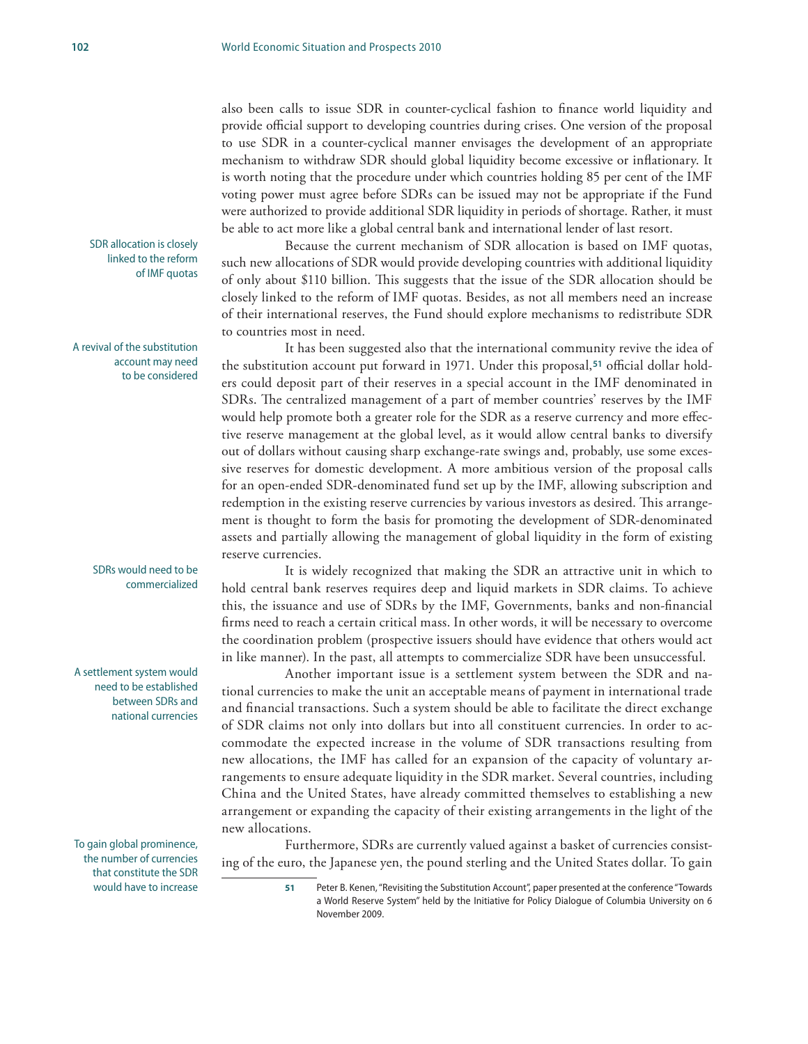also been calls to issue SDR in counter-cyclical fashion to finance world liquidity and provide official support to developing countries during crises. One version of the proposal to use SDR in a counter-cyclical manner envisages the development of an appropriate mechanism to withdraw SDR should global liquidity become excessive or inflationary. It is worth noting that the procedure under which countries holding 85 per cent of the IMF voting power must agree before SDRs can be issued may not be appropriate if the Fund were authorized to provide additional SDR liquidity in periods of shortage. Rather, it must be able to act more like a global central bank and international lender of last resort.

Because the current mechanism of SDR allocation is based on IMF quotas, such new allocations of SDR would provide developing countries with additional liquidity of only about \$110 billion. This suggests that the issue of the SDR allocation should be closely linked to the reform of IMF quotas. Besides, as not all members need an increase of their international reserves, the Fund should explore mechanisms to redistribute SDR to countries most in need.

It has been suggested also that the international community revive the idea of the substitution account put forward in 1971. Under this proposal,**51** official dollar holders could deposit part of their reserves in a special account in the IMF denominated in SDRs. The centralized management of a part of member countries' reserves by the IMF would help promote both a greater role for the SDR as a reserve currency and more effective reserve management at the global level, as it would allow central banks to diversify out of dollars without causing sharp exchange-rate swings and, probably, use some excessive reserves for domestic development. A more ambitious version of the proposal calls for an open-ended SDR-denominated fund set up by the IMF, allowing subscription and redemption in the existing reserve currencies by various investors as desired. This arrangement is thought to form the basis for promoting the development of SDR-denominated assets and partially allowing the management of global liquidity in the form of existing reserve currencies.

It is widely recognized that making the SDR an attractive unit in which to hold central bank reserves requires deep and liquid markets in SDR claims. To achieve this, the issuance and use of SDRs by the IMF, Governments, banks and non-financial firms need to reach a certain critical mass. In other words, it will be necessary to overcome the coordination problem (prospective issuers should have evidence that others would act in like manner). In the past, all attempts to commercialize SDR have been unsuccessful.

Another important issue is a settlement system between the SDR and national currencies to make the unit an acceptable means of payment in international trade and financial transactions. Such a system should be able to facilitate the direct exchange of SDR claims not only into dollars but into all constituent currencies. In order to accommodate the expected increase in the volume of SDR transactions resulting from new allocations, the IMF has called for an expansion of the capacity of voluntary arrangements to ensure adequate liquidity in the SDR market. Several countries, including China and the United States, have already committed themselves to establishing a new arrangement or expanding the capacity of their existing arrangements in the light of the new allocations.

Furthermore, SDRs are currently valued against a basket of currencies consisting of the euro, the Japanese yen, the pound sterling and the United States dollar. To gain

SDR allocation is closely linked to the reform of IMF quotas

A revival of the substitution account may need to be considered

> SDRs would need to be commercialized

A settlement system would need to be established between SDRs and national currencies

To gain global prominence, the number of currencies that constitute the SDR would have to increase

**<sup>51</sup>** Peter B. Kenen, "Revisiting the Substitution Account", paper presented at the conference "Towards a World Reserve System" held by the Initiative for Policy Dialogue of Columbia University on 6 November 2009.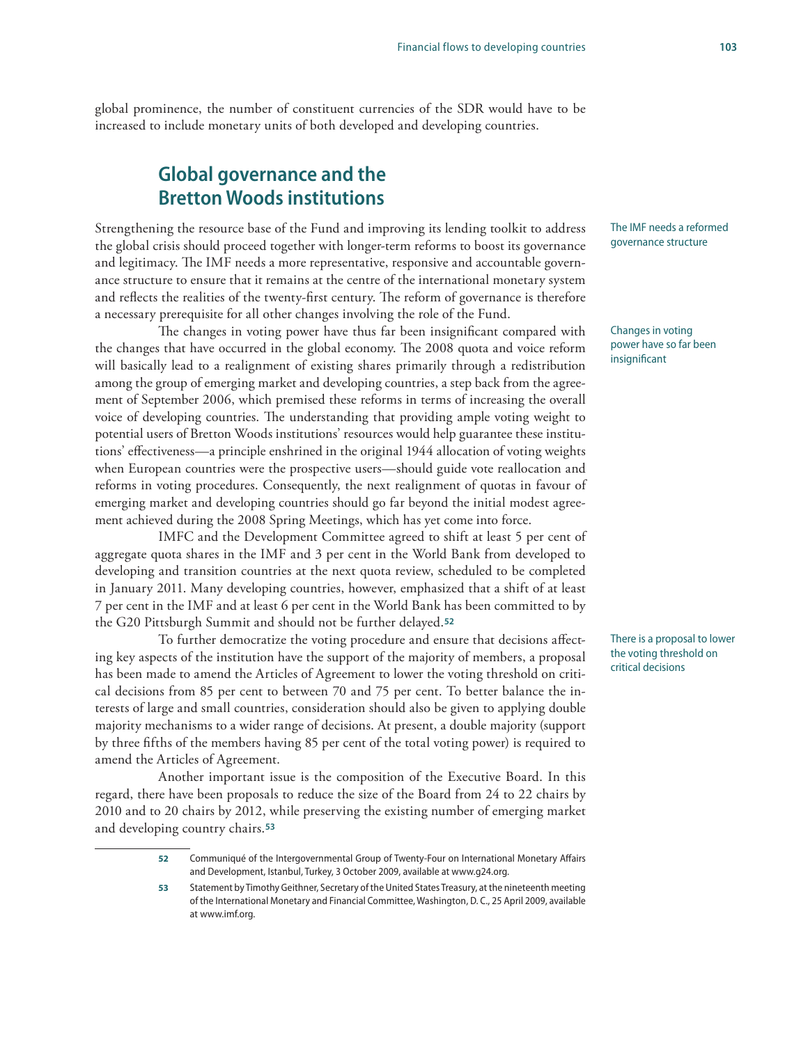global prominence, the number of constituent currencies of the SDR would have to be increased to include monetary units of both developed and developing countries.

## **Global governance and the Bretton Woods institutions**

Strengthening the resource base of the Fund and improving its lending toolkit to address the global crisis should proceed together with longer-term reforms to boost its governance and legitimacy. The IMF needs a more representative, responsive and accountable governance structure to ensure that it remains at the centre of the international monetary system and reflects the realities of the twenty-first century. The reform of governance is therefore a necessary prerequisite for all other changes involving the role of the Fund.

The changes in voting power have thus far been insignificant compared with the changes that have occurred in the global economy. The 2008 quota and voice reform will basically lead to a realignment of existing shares primarily through a redistribution among the group of emerging market and developing countries, a step back from the agreement of September 2006, which premised these reforms in terms of increasing the overall voice of developing countries. The understanding that providing ample voting weight to potential users of Bretton Woods institutions' resources would help guarantee these institutions' effectiveness—a principle enshrined in the original 1944 allocation of voting weights when European countries were the prospective users—should guide vote reallocation and reforms in voting procedures. Consequently, the next realignment of quotas in favour of emerging market and developing countries should go far beyond the initial modest agreement achieved during the 2008 Spring Meetings, which has yet come into force.

IMFC and the Development Committee agreed to shift at least 5 per cent of aggregate quota shares in the IMF and 3 per cent in the World Bank from developed to developing and transition countries at the next quota review, scheduled to be completed in January 2011. Many developing countries, however, emphasized that a shift of at least 7 per cent in the IMF and at least 6 per cent in the World Bank has been committed to by the G20 Pittsburgh Summit and should not be further delayed.**<sup>52</sup>**

To further democratize the voting procedure and ensure that decisions affecting key aspects of the institution have the support of the majority of members, a proposal has been made to amend the Articles of Agreement to lower the voting threshold on critical decisions from 85 per cent to between 70 and 75 per cent. To better balance the interests of large and small countries, consideration should also be given to applying double majority mechanisms to a wider range of decisions. At present, a double majority (support by three fifths of the members having 85 per cent of the total voting power) is required to amend the Articles of Agreement.

Another important issue is the composition of the Executive Board. In this regard, there have been proposals to reduce the size of the Board from 24 to 22 chairs by 2010 and to 20 chairs by 2012, while preserving the existing number of emerging market and developing country chairs.**<sup>53</sup>**

The IMF needs a reformed governance structure

Changes in voting power have so far been insignificant

There is a proposal to lower the voting threshold on critical decisions

**<sup>52</sup>** Communiqué of the Intergovernmental Group of Twenty-Four on International Monetary Affairs and Development, Istanbul, Turkey, 3 October 2009, available at www.g24.org.

**<sup>53</sup>** Statement by Timothy Geithner, Secretary of the United States Treasury, at the nineteenth meeting of the International Monetary and Financial Committee, Washington, D. C., 25 April 2009, available at www.imf.org.